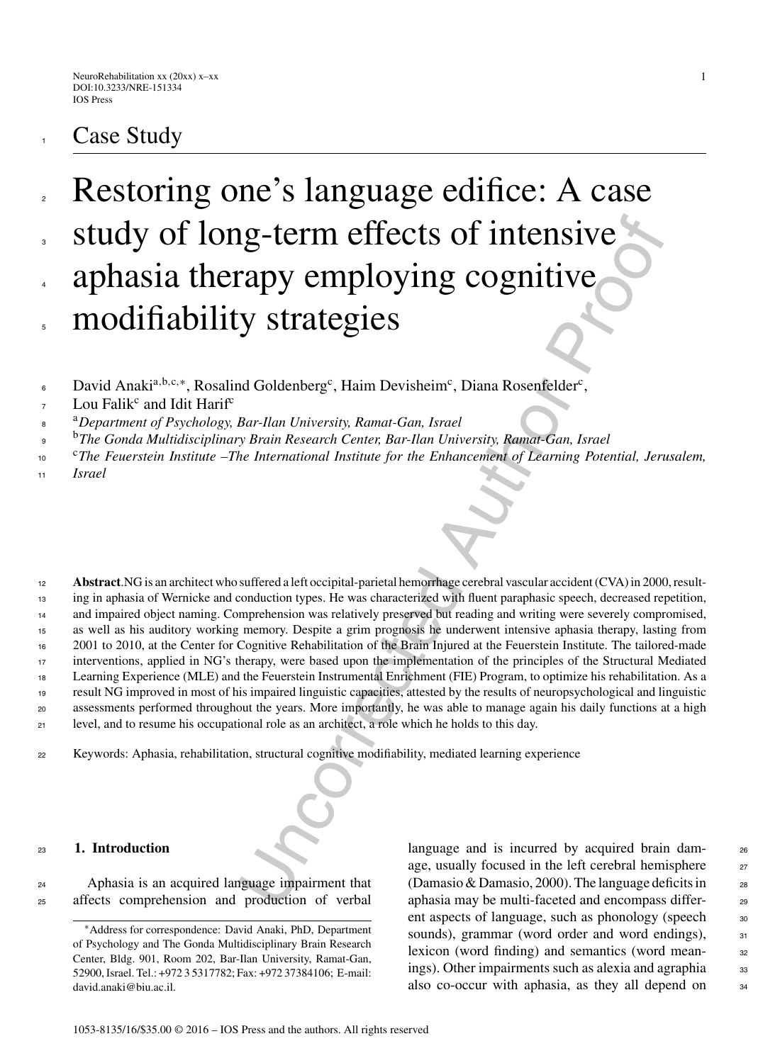# **Case Study**

## Restoring one's language edifice: A case study of long-term effects of intensive aphasia therapy employing cognitive modifiability strategies 2 3 4 5

- David Anaki<sup>a, b, c,\*</sup>, Rosalind Goldenberg<sup>c</sup>, Haim Devisheim<sup>c</sup>, Diana Rosenfelder<sup>c</sup>, 6
- Lou Falik<sup>c</sup> and Idit Harif<sup>c</sup> 7
- <sup>a</sup> <sup>8</sup> *Department of Psychology, Bar-Ilan University, Ramat-Gan, Israel*
- <sup>b</sup> <sup>9</sup> *The Gonda Multidisciplinary Brain Research Center, Bar-Ilan University, Ramat-Gan, Israel*
- <sup>c</sup>*The Feuerstein Institute –The International Institute for the Enhancement of Learning Potential, Jerusalem,* 10
- *Israel* 11

Example the proof of intensive and the proof of the same and the production of version of the customers and provided authorizes of the customers of the current of the current of the current of the current of the current of **Abstract**.NG is an architect who suffered a left occipital-parietal hemorrhage cerebral vascular accident (CVA) in 2000, resulting in aphasia of Wernicke and conduction types. He was characterized with fluent paraphasic speech, decreased repetition, and impaired object naming. Comprehension was relatively preserved but reading and writing were severely compromised, as well as his auditory working memory. Despite a grim prognosis he underwent intensive aphasia therapy, lasting from 2001 to 2010, at the Center for Cognitive Rehabilitation of the Brain Injured at the Feuerstein Institute. The tailored-made interventions, applied in NG's therapy, were based upon the implementation of the principles of the Structural Mediated Learning Experience (MLE) and the Feuerstein Instrumental Enrichment (FIE) Program, to optimize his rehabilitation. As a result NG improved in most of his impaired linguistic capacities, attested by the results of neuropsychological and linguistic assessments performed throughout the years. More importantly, he was able to manage again his daily functions at a high level, and to resume his occupational role as an architect, a role which he holds to this day. 12 13 14 15 16 17 18 19  $20$ 21

<sup>22</sup> Keywords: Aphasia, rehabilitation, structural cognitive modifiability, mediated learning experience

#### <sup>23</sup> **1. Introduction**

<sup>24</sup> Aphasia is an acquired language impairment that <sup>25</sup> affects comprehension and production of verbal language and is incurred by acquired brain dam- $_{26}$ age, usually focused in the left cerebral hemisphere 27 (Damasio & Damasio, 2000). The language deficits in  $288$ aphasia may be multi-faceted and encompass differ- <sup>29</sup> ent aspects of language, such as phonology (speech  $\frac{30}{20}$ sounds), grammar (word order and word endings), 31 lexicon (word finding) and semantics (word meanings). Other impairments such as alexia and agraphia 33 also co-occur with aphasia, as they all depend on  $\frac{34}{4}$ 

<sup>∗</sup>Address for correspondence: David Anaki, PhD, Department of Psychology and The Gonda Multidisciplinary Brain Research Center, Bldg. 901, Room 202, Bar-Ilan University, Ramat-Gan, 52900, Israel. Tel.: +972 3 5317782; Fax: +972 37384106; E-mail: [david.anaki@biu.ac.il.](mailto:david.anaki@biu.ac.il)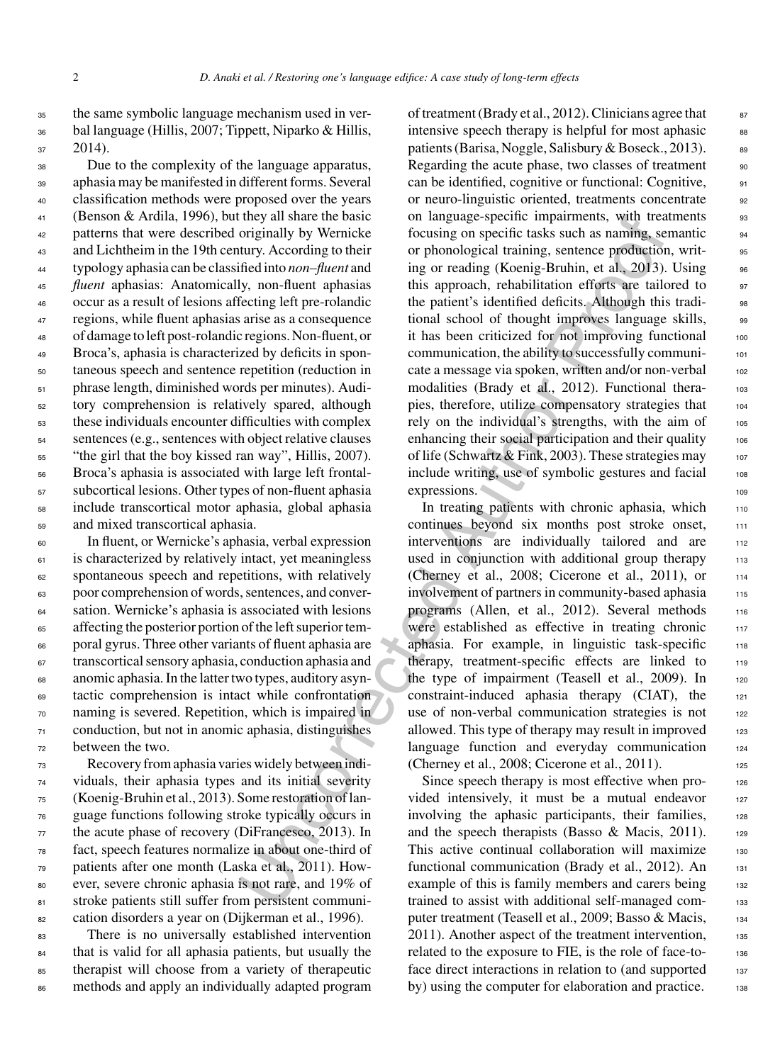<sup>35</sup> the same symbolic language mechanism used in ver-<sup>36</sup> bal language (Hillis, 2007; Tippett, Niparko & Hillis,  $37$  2014).

 Due to the complexity of the language apparatus, aphasia may be manifested in different forms. Several classification methods were proposed over the years (Benson & Ardila, 1996), but they all share the basic patterns that were described originally by Wernicke 43 and Lichtheim in the 19th century. According to their typology aphasia can be classified into *non*–*fluent* and *fluent* aphasias: Anatomically, non-fluent aphasias occur as a result of lesions affecting left pre-rolandic regions, while fluent aphasias arise as a consequence of damage to left post-rolandic regions. Non-fluent, or Broca's, aphasia is characterized by deficits in spon- taneous speech and sentence repetition (reduction in phrase length, diminished words per minutes). Audi- tory comprehension is relatively spared, although these individuals encounter difficulties with complex sentences (e.g., sentences with object relative clauses <sup>55</sup> "the girl that the boy kissed ran way", Hillis, 2007). Broca's aphasia is associated with large left frontal- subcortical lesions. Other types of non-fluent aphasia include transcortical motor aphasia, global aphasia and mixed transcortical aphasia.

 In fluent, or Wernicke's aphasia, verbal expression is characterized by relatively intact, yet meaningless spontaneous speech and repetitions, with relatively poor comprehension of words, sentences, and conver- sation. Wernicke's aphasia is associated with lesions <sup>65</sup> affecting the posterior portion of the left superior tem- poral gyrus. Three other variants of fluent aphasia are transcortical sensory aphasia, conduction aphasia and anomic aphasia. In the latter two types, auditory asyn- tactic comprehension is intact while confrontation naming is severed. Repetition, which is impaired in conduction, but not in anomic aphasia, distinguishes between the two.

 Recovery from aphasia varies widely between indi- viduals, their aphasia types and its initial severity (Koenig-Bruhin et al., 2013). Some restoration of lan- guage functions following stroke typically occurs in the acute phase of recovery (DiFrancesco, 2013). In fact, speech features normalize in about one-third of patients after one month (Laska et al., 2011). How- ever, severe chronic aphasia is not rare, and 19% of 81 stroke patients still suffer from persistent communi-cation disorders a year on (Dijkerman et al., 1996).

 There is no universally established intervention that is valid for all aphasia patients, but usually the therapist will choose from a variety of therapeutic methods and apply an individually adapted program

they all share the basic on language-specific mapaments, with treat<br>in the state of the state and the state of the state and the state of<br>roriginally by Wemick focusing on specific traks such as naming, see<br>the correct of of treatment (Brady et al., 2012). Clinicians agree that  $\qquad \qquad$ <sup>87</sup> intensive speech therapy is helpful for most aphasic  $\frac{88}{8}$ patients (Barisa, Noggle, Salisbury & Boseck., 2013). 89 Regarding the acute phase, two classes of treatment 90 can be identified, cognitive or functional: Cognitive, <sup>91</sup> or neuro-linguistic oriented, treatments concentrate 92 on language-specific impairments, with treatments 93 focusing on specific tasks such as naming, semantic <sup>94</sup> or phonological training, sentence production, writing or reading (Koenig-Bruhin, et al., 2013). Using 96 this approach, rehabilitation efforts are tailored to 97 the patient's identified deficits. Although this tradi-<br>set tional school of thought improves language skills,  $\frac{98}{96}$ it has been criticized for not improving functional  $100$ communication, the ability to successfully communi- <sup>101</sup> cate a message via spoken, written and/or non-verbal 102 modalities (Brady et al., 2012). Functional thera-<br>103 pies, therefore, utilize compensatory strategies that 104 rely on the individual's strengths, with the aim of 105 enhancing their social participation and their quality 106 of life (Schwartz & Fink, 2003). These strategies may <sup>107</sup> include writing, use of symbolic gestures and facial  $108$ expressions. 109

In treating patients with chronic aphasia, which 110 continues beyond six months post stroke onset, 111 interventions are individually tailored and are 112 used in conjunction with additional group therapy  $\frac{1}{13}$ (Cherney et al., 2008; Cicerone et al., 2011), or 114 involvement of partners in community-based aphasia 115 programs (Allen, et al., 2012). Several methods 116 were established as effective in treating chronic 117 aphasia. For example, in linguistic task-specific 118 therapy, treatment-specific effects are linked to  $119$ the type of impairment (Teasell et al., 2009). In 120 constraint-induced aphasia therapy (CIAT), the <sup>121</sup> use of non-verbal communication strategies is not  $122$ allowed. This type of therapy may result in improved  $123$ language function and everyday communication 124 (Cherney et al., 2008; Cicerone et al., 2011). <sup>125</sup>

Since speech therapy is most effective when provided intensively, it must be a mutual endeavor 127 involving the aphasic participants, their families, 128 and the speech therapists (Basso & Macis, 2011).  $125$ This active continual collaboration will maximize 130 functional communication (Brady et al., 2012). An 131 example of this is family members and carers being 132 trained to assist with additional self-managed computer treatment (Teasell et al., 2009; Basso & Macis, 134 2011). Another aspect of the treatment intervention, 135 related to the exposure to FIE, is the role of face-toface direct interactions in relation to (and supported 137 by) using the computer for elaboration and practice. 138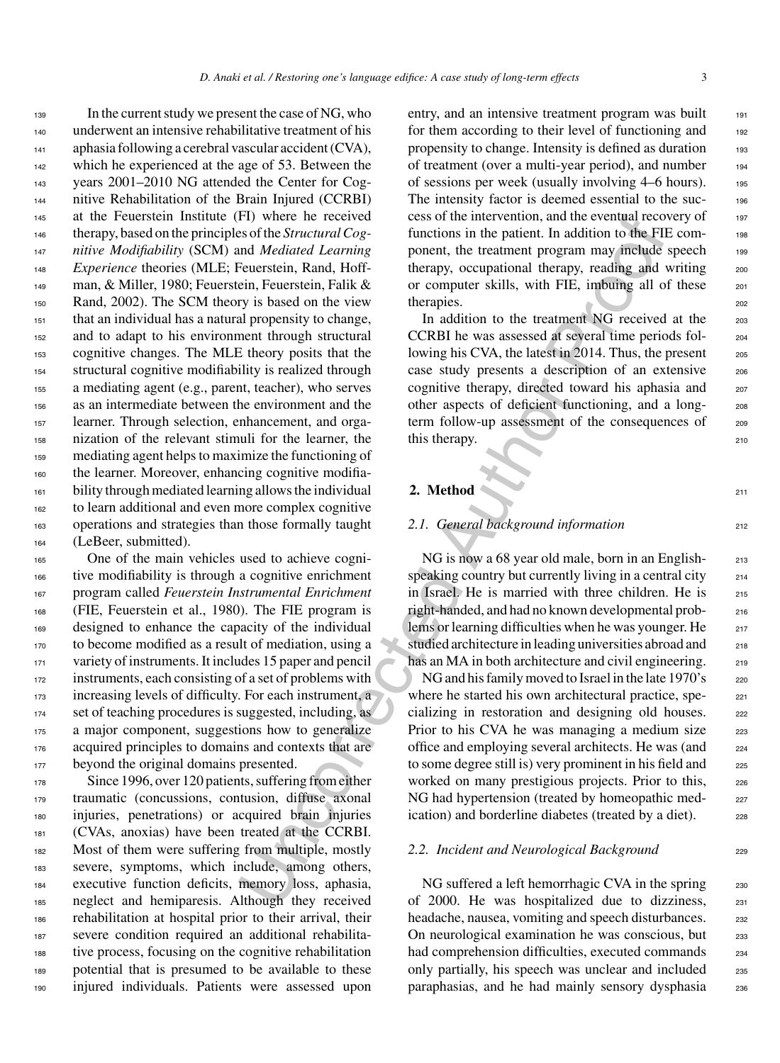F1) where he received cess of the intervention, and the eventual recovered cess of the *Structural Cog*-<br>timetions in the patient. In addition to the FII<br>energy comparison the relations in the patient. In addition to the In the current study we present the case of NG, who underwent an intensive rehabilitative treatment of his aphasia following a cerebral vascular accident (CVA), 142 which he experienced at the age of 53. Between the years 2001–2010 NG attended the Center for Cog- nitive Rehabilitation of the Brain Injured (CCRBI) at the Feuerstein Institute (FI) where he received therapy, based on the principles of the *Structural Cog- nitive Modifiability* (SCM) and *Mediated Learning Experience* theories (MLE; Feuerstein, Rand, Hoff- man, & Miller, 1980; Feuerstein, Feuerstein, Falik & Rand, 2002). The SCM theory is based on the view that an individual has a natural propensity to change, and to adapt to his environment through structural cognitive changes. The MLE theory posits that the structural cognitive modifiability is realized through a mediating agent (e.g., parent, teacher), who serves as an intermediate between the environment and the learner. Through selection, enhancement, and orga- nization of the relevant stimuli for the learner, the mediating agent helps to maximize the functioning of the learner. Moreover, enhancing cognitive modifia- bility through mediated learning allows the individual to learn additional and even more complex cognitive operations and strategies than those formally taught (LeBeer, submitted).

 One of the main vehicles used to achieve cogni- tive modifiability is through a cognitive enrichment program called *Feuerstein Instrumental Enrichment* (FIE, Feuerstein et al., 1980). The FIE program is designed to enhance the capacity of the individual to become modified as a result of mediation, using a 171 variety of instruments. It includes 15 paper and pencil instruments, each consisting of a set of problems with increasing levels of difficulty. For each instrument, a set of teaching procedures is suggested, including, as a major component, suggestions how to generalize acquired principles to domains and contexts that are 177 beyond the original domains presented.

178 Since 1996, over 120 patients, suffering from either traumatic (concussions, contusion, diffuse axonal injuries, penetrations) or acquired brain injuries (CVAs, anoxias) have been treated at the CCRBI. Most of them were suffering from multiple, mostly severe, symptoms, which include, among others, executive function deficits, memory loss, aphasia, neglect and hemiparesis. Although they received rehabilitation at hospital prior to their arrival, their severe condition required an additional rehabilita- tive process, focusing on the cognitive rehabilitation potential that is presumed to be available to these injured individuals. Patients were assessed upon entry, and an intensive treatment program was built 191 for them according to their level of functioning and 192 propensity to change. Intensity is defined as duration 193 of treatment (over a multi-year period), and number <sup>194</sup> of sessions per week (usually involving  $4-6$  hours). 195 The intensity factor is deemed essential to the suc-<br>196 cess of the intervention, and the eventual recovery of  $197$ functions in the patient. In addition to the FIE component, the treatment program may include speech 199 therapy, occupational therapy, reading and writing 200 or computer skills, with FIE, imbuing all of these  $201$ therapies. 202

In addition to the treatment NG received at the 203 CCRBI he was assessed at several time periods fol- <sup>204</sup> lowing his CVA, the latest in 2014. Thus, the present  $205$ case study presents a description of an extensive <sup>206</sup> cognitive therapy, directed toward his aphasia and <sup>207</sup> other aspects of deficient functioning, and a long- <sup>208</sup> term follow-up assessment of the consequences of 209 this therapy.

### **2.** Method 211

#### **2.1. General background information** 212

NG is now a 68 year old male, born in an English-<br>213 speaking country but currently living in a central city <sub>214</sub> in Israel. He is married with three children. He is 215 right-handed, and had no known developmental prob- <sup>216</sup> lems or learning difficulties when he was younger. He 217 studied architecture in leading universities abroad and 218 has an MA in both architecture and civil engineering. 219

NG and his family moved to Israel in the late 1970's 220 where he started his own architectural practice, spe-<br>221 cializing in restoration and designing old houses. 222 Prior to his CVA he was managing a medium size 223 office and employing several architects. He was (and <sup>224</sup> to some degree still is) very prominent in his field and <sub>225</sub> worked on many prestigious projects. Prior to this, 226 NG had hypertension (treated by homeopathic med-<br>227 ication) and borderline diabetes (treated by a diet). 228

#### 2.2. Incident and Neurological Background

NG suffered a left hemorrhagic CVA in the spring  $230$ of 2000. He was hospitalized due to dizziness, <sup>231</sup> headache, nausea, vomiting and speech disturbances. 232 On neurological examination he was conscious, but 233 had comprehension difficulties, executed commands 234 only partially, his speech was unclear and included 235 paraphasias, and he had mainly sensory dysphasia <sup>236</sup>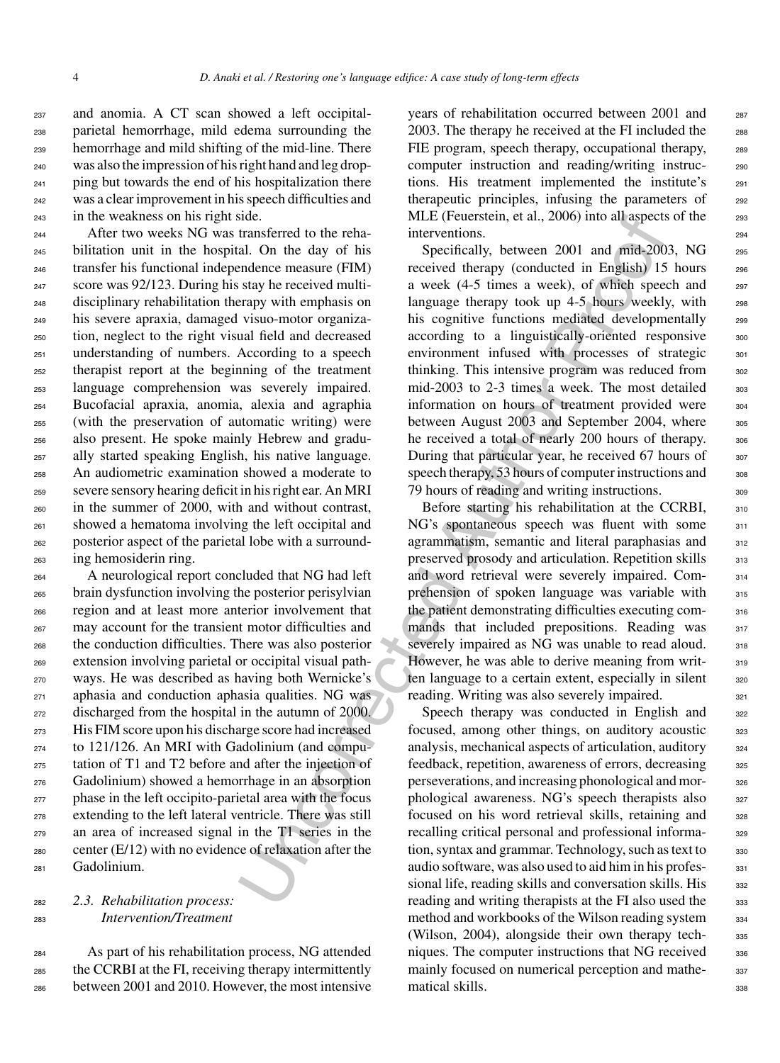and anomia. A CT scan showed a left occipital- parietal hemorrhage, mild edema surrounding the hemorrhage and mild shifting of the mid-line. There was also the impression of his right hand and leg drop- ping but towards the end of his hospitalization there was a clear improvement in his speech difficulties and in the weakness on his right side.

 After two weeks NG was transferred to the reha- bilitation unit in the hospital. On the day of his transfer his functional independence measure (FIM) score was 92/123. During his stay he received multi- disciplinary rehabilitation therapy with emphasis on his severe apraxia, damaged visuo-motor organiza- tion, neglect to the right visual field and decreased understanding of numbers. According to a speech therapist report at the beginning of the treatment language comprehension was severely impaired. Bucofacial apraxia, anomia, alexia and agraphia (with the preservation of automatic writing) were also present. He spoke mainly Hebrew and gradu- ally started speaking English, his native language. An audiometric examination showed a moderate to severe sensory hearing deficit in his right ear. An MRI in the summer of 2000, with and without contrast, showed a hematoma involving the left occipital and posterior aspect of the parietal lobe with a surround-ing hemosiderin ring.

 A neurological report concluded that NG had left brain dysfunction involving the posterior perisylvian region and at least more anterior involvement that may account for the transient motor difficulties and the conduction difficulties. There was also posterior extension involving parietal or occipital visual path- ways. He was described as having both Wernicke's aphasia and conduction aphasia qualities. NG was discharged from the hospital in the autumn of 2000. His FIM score upon his discharge score had increased to 121/126. An MRI with Gadolinium (and compu- tation of T1 and T2 before and after the injection of Gadolinium) showed a hemorrhage in an absorption phase in the left occipito-parietal area with the focus extending to the left lateral ventricle. There was still an area of increased signal in the T1 series in the center (E/12) with no evidence of relaxation after the Gadolinium.

#### <sup>282</sup> *2.3. Rehabilitation process:* <sup>283</sup> *Intervention/Treatment*

<sup>284</sup> As part of his rehabilitation process, NG attended <sup>285</sup> the CCRBI at the FI, receiving therapy intermittently <sup>286</sup> between 2001 and 2010. However, the most intensive years of rehabilitation occurred between 2001 and 287 2003. The therapy he received at the FI included the 288 FIE program, speech therapy, occupational therapy, 289 computer instruction and reading/writing instructions. His treatment implemented the institute's <sup>291</sup> therapeutic principles, infusing the parameters of 292 MLE (Feuerstein, et al., 2006) into all aspects of the 293 interventions. 294

state.<br>
Internet MLL (receiversitem, et al., 2006) into all aspects<br>
and. On the day of his Specifically, between 2001 and midt-200<br>
and midt-200 and and contained the mean of his Specifically, between 2001 and midt-200<br>
s Specifically, between 2001 and mid-2003, NG 295 received therapy (conducted in English) 15 hours 296 a week (4-5 times a week), of which speech and <sup>297</sup> language therapy took up 4-5 hours weekly, with 298 his cognitive functions mediated developmentally 299 according to a linguistically-oriented responsive 300 environment infused with processes of strategic 301 thinking. This intensive program was reduced from  $302$ mid-2003 to 2-3 times a week. The most detailed 303 information on hours of treatment provided were 304 between August 2003 and September 2004, where  $305$ he received a total of nearly 200 hours of therapy. 306 During that particular year, he received 67 hours of 307 speech therapy, 53 hours of computer instructions and <sub>308</sub> 79 hours of reading and writing instructions.

Before starting his rehabilitation at the CCRBI, 310 NG's spontaneous speech was fluent with some 311 agrammatism, semantic and literal paraphasias and 312 preserved prosody and articulation. Repetition skills  $313$ and word retrieval were severely impaired. Com- <sup>314</sup> prehension of spoken language was variable with 315 the patient demonstrating difficulties executing com- <sup>316</sup> mands that included prepositions. Reading was 317 severely impaired as NG was unable to read aloud. 318 However, he was able to derive meaning from writ-<br>319 ten language to a certain extent, especially in silent 320 reading. Writing was also severely impaired. 321

Speech therapy was conducted in English and 322 focused, among other things, on auditory acoustic 323 analysis, mechanical aspects of articulation, auditory <sup>324</sup> feedback, repetition, awareness of errors, decreasing  $325$ perseverations, and increasing phonological and mor- <sup>326</sup> phological awareness. NG's speech therapists also 327 focused on his word retrieval skills, retaining and 328 recalling critical personal and professional informa-<br>329 tion, syntax and grammar. Technology, such as text to 330 audio software, was also used to aid him in his profes- <sup>331</sup> sional life, reading skills and conversation skills. His 332 reading and writing therapists at the FI also used the 333 method and workbooks of the Wilson reading system 334 (Wilson, 2004), alongside their own therapy tech-<br>335 niques. The computer instructions that NG received 336 mainly focused on numerical perception and mathe-<br>337 matical skills. 338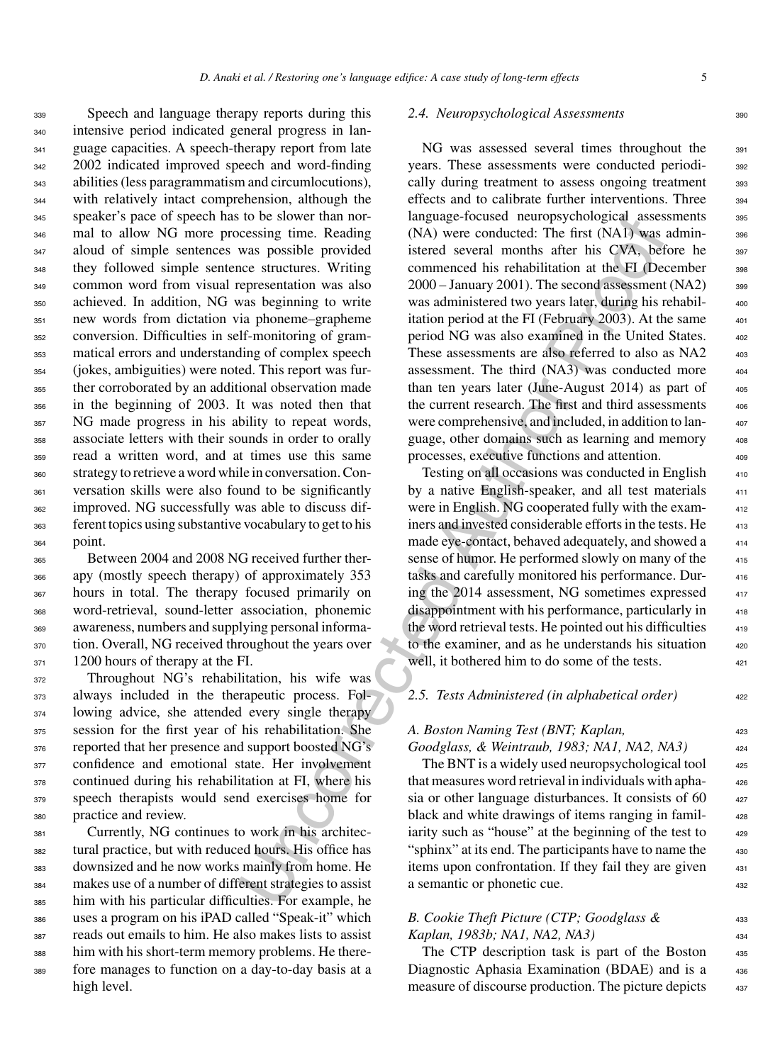Speech and language therapy reports during this intensive period indicated general progress in lan- guage capacities. A speech-therapy report from late 342 2002 indicated improved speech and word-finding abilities (less paragrammatism and circumlocutions), with relatively intact comprehension, although the speaker's pace of speech has to be slower than nor- mal to allow NG more processing time. Reading aloud of simple sentences was possible provided they followed simple sentence structures. Writing common word from visual representation was also achieved. In addition, NG was beginning to write new words from dictation via phoneme–grapheme conversion. Difficulties in self-monitoring of gram- matical errors and understanding of complex speech (jokes, ambiguities) were noted. This report was fur- ther corroborated by an additional observation made in the beginning of 2003. It was noted then that NG made progress in his ability to repeat words, associate letters with their sounds in order to orally read a written word, and at times use this same strategy to retrieve a word while in conversation. Con- versation skills were also found to be significantly improved. NG successfully was able to discuss dif- ferent topics using substantive vocabulary to get to his point.

 Between 2004 and 2008 NG received further ther- apy (mostly speech therapy) of approximately 353 hours in total. The therapy focused primarily on word-retrieval, sound-letter association, phonemic awareness, numbers and supplying personal informa- tion. Overall, NG received throughout the years over 371 1200 hours of therapy at the FI.

 Throughout NG's rehabilitation, his wife was always included in the therapeutic process. Fol- lowing advice, she attended every single therapy session for the first year of his rehabilitation. She reported that her presence and support boosted NG's 377 confidence and emotional state. Her involvement continued during his rehabilitation at FI, where his speech therapists would send exercises home for practice and review.

 Currently, NG continues to work in his architec- tural practice, but with reduced hours. His office has downsized and he now works mainly from home. He makes use of a number of different strategies to assist him with his particular difficulties. For example, he uses a program on his iPAD called "Speak-it" which reads out emails to him. He also makes lists to assist him with his short-term memory problems. He there- fore manages to function on a day-to-day basis at a high level.

#### 2.4. Neuropsychological Assessments 390

to be significantly<br>
any anguage-locused particular and to essimpt time. Reading (NA) were conducted: The first (NA) was<br>
reassing time. Reading (NA) were conducted: The first (NA) was<br>
reassing time. Reading commenced bi NG was assessed several times throughout the 391 years. These assessments were conducted periodi- <sup>392</sup> cally during treatment to assess ongoing treatment 393 effects and to calibrate further interventions. Three <sub>394</sub> language-focused neuropsychological assessments 395 (NA) were conducted: The first (NA1) was admin- <sup>396</sup> istered several months after his CVA, before he 397 commenced his rehabilitation at the FI (December 398  $2000 -$  January 2001). The second assessment (NA2)  $399$ was administered two years later, during his rehabil itation period at the FI (February 2003). At the same period NG was also examined in the United States. <sup>402</sup> These assessments are also referred to also as NA2 assessment. The third  $(NA3)$  was conducted more  $404$ than ten years later (June-August 2014) as part of the current research. The first and third assessments 406 were comprehensive, and included, in addition to language, other domains such as learning and memory processes, executive functions and attention.

Testing on all occasions was conducted in English by a native English-speaker, and all test materials were in English. NG cooperated fully with the examiners and invested considerable efforts in the tests. He made eye-contact, behaved adequately, and showed a sense of humor. He performed slowly on many of the tasks and carefully monitored his performance. During the 2014 assessment, NG sometimes expressed disappointment with his performance, particularly in the word retrieval tests. He pointed out his difficulties to the examiner, and as he understands his situation well, it bothered him to do some of the tests.

#### *2.5. Tests Administered (in alphabetical order)* <sup>422</sup>

#### *A. Boston Naming Test (BNT; Kaplan,* <sup>423</sup>

#### *Goodglass, & Weintraub, 1983; NA1, NA2, NA3)* <sup>424</sup>

The BNT is a widely used neuropsychological tool that measures word retrieval in individuals with apha- <sup>426</sup> sia or other language disturbances. It consists of  $60 \qquad$  427 black and white drawings of items ranging in familiarity such as "house" at the beginning of the test to "sphinx" at its end. The participants have to name the 430 items upon confrontation. If they fail they are given 431 a semantic or phonetic cue. 432

#### *B. Cookie Theft Picture (CTP; Goodglass &* <sup>433</sup> *Kaplan, 1983b; NA1, NA2, NA3)* <sup>434</sup>

The CTP description task is part of the Boston 435 Diagnostic Aphasia Examination (BDAE) and is a 436 measure of discourse production. The picture depicts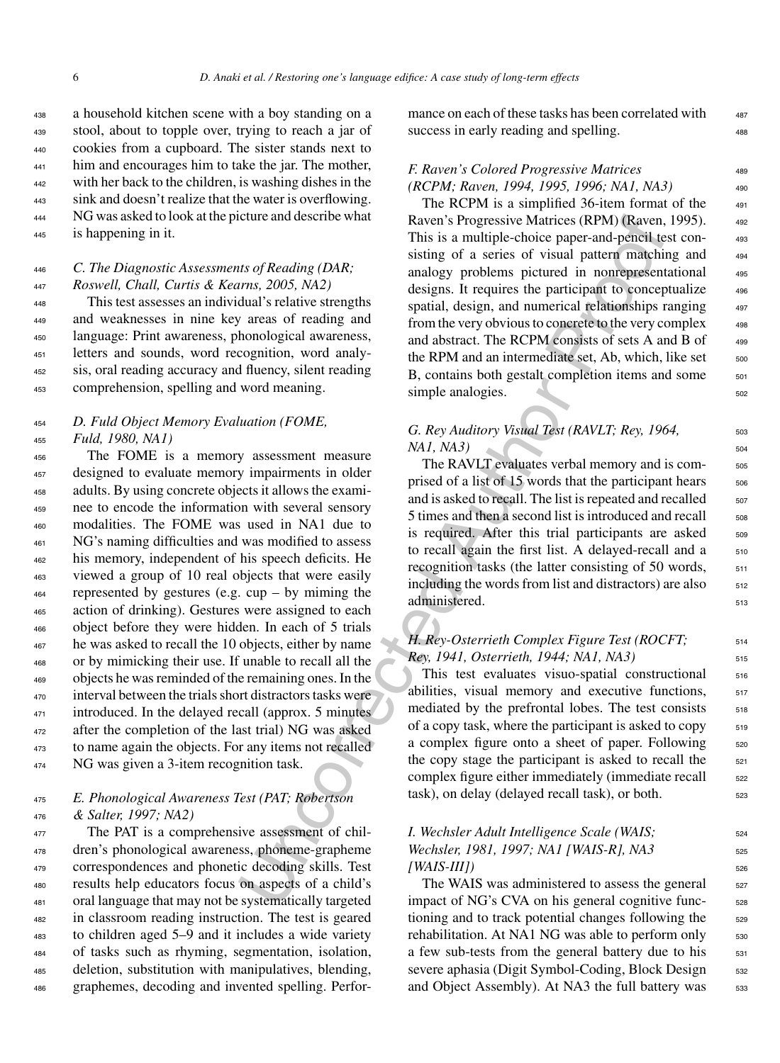a household kitchen scene with a boy standing on a stool, about to topple over, trying to reach a jar of cookies from a cupboard. The sister stands next to <sup>441</sup> him and encourages him to take the jar. The mother, with her back to the children, is washing dishes in the sink and doesn't realize that the water is overflowing. NG was asked to look at the picture and describe what is happening in it.

#### <sup>446</sup> *C. The Diagnostic Assessments of Reading (DAR;* <sup>447</sup> *Roswell, Chall, Curtis & Kearns, 2005, NA2)*

 This test assesses an individual's relative strengths and weaknesses in nine key areas of reading and language: Print awareness, phonological awareness, letters and sounds, word recognition, word analy- sis, oral reading accuracy and fluency, silent reading comprehension, spelling and word meaning.

#### <sup>454</sup> *D. Fuld Object Memory Evaluation (FOME,* <sup>455</sup> *Fuld, 1980, NA1)*

 The FOME is a memory assessment measure designed to evaluate memory impairments in older adults. By using concrete objects it allows the exami- nee to encode the information with several sensory modalities. The FOME was used in NA1 due to NG's naming difficulties and was modified to assess his memory, independent of his speech deficits. He viewed a group of 10 real objects that were easily represented by gestures (e.g. cup – by miming the action of drinking). Gestures were assigned to each object before they were hidden. In each of 5 trials he was asked to recall the 10 objects, either by name or by mimicking their use. If unable to recall all the objects he was reminded of the remaining ones. In the interval between the trials short distractors tasks were 471 introduced. In the delayed recall (approx. 5 minutes after the completion of the last trial) NG was asked to name again the objects. For any items not recalled 474 NG was given a 3-item recognition task.

#### <sup>475</sup> *E. Phonological Awareness Test (PAT; Robertson* <sup>476</sup> *& Salter, 1997; NA2)*

 The PAT is a comprehensive assessment of chil- dren's phonological awareness, phoneme-grapheme correspondences and phonetic decoding skills. Test results help educators focus on aspects of a child's oral language that may not be systematically targeted in classroom reading instruction. The test is geared to children aged 5–9 and it includes a wide variety of tasks such as rhyming, segmentation, isolation, deletion, substitution with manipulatives, blending, graphemes, decoding and invented spelling. Performance on each of these tasks has been correlated with  $487$ success in early reading and spelling.

#### *F. Raven's Colored Progressive Matrices* 489 *(RCPM; Raven, 1994, 1995, 1996; NA1, NA3)* <sup>490</sup>

icture and describe what<br>
Raven's Propersive Mattence (RPM) (Raven,<br>
This is a multiple-choice paper-and-pencil terms 2005, NA2)<br>
and pattern matching<br>
and the same of a series of visual pattern matching<br>
and specifical a The RCPM is a simplified  $36$ -item format of the  $491$ Raven's Progressive Matrices (RPM) (Raven, 1995). <sup>492</sup> This is a multiple-choice paper-and-pencil test consisting of a series of visual pattern matching and  $494$ analogy problems pictured in nonrepresentational <sup>495</sup> designs. It requires the participant to conceptualize  $496$ spatial, design, and numerical relationships ranging 497 from the very obvious to concrete to the very complex  $498$ and abstract. The RCPM consists of sets A and B of  $499$ the RPM and an intermediate set, Ab, which, like set  $_{500}$ B, contains both gestalt completion items and some 501 simple analogies.  $\qquad \qquad$  502

#### *G. Rey Auditory Visual Test (RAVLT; Rey, 1964,* 503 *NA1, NA3*) 504

The RAVLT evaluates verbal memory and is comprised of a list of 15 words that the participant hears  $506$ and is asked to recall. The list is repeated and recalled  $\frac{507}{207}$  $5 \times 5$  times and then a second list is introduced and recall  $\frac{508}{508}$ is required. After this trial participants are asked 509 to recall again the first list. A delayed-recall and a 510 recognition tasks (the latter consisting of 50 words,  $\frac{511}{2}$ including the words from list and distractors) are also  $_{512}$ administered. 513

#### *H. Rey-Osterrieth Complex Figure Test (ROCFT;* 514 *Rey, 1941, Osterrieth, 1944; NA1, NA3)* <sup>515</sup>

This test evaluates visuo-spatial constructional 516 abilities, visual memory and executive functions, 517 mediated by the prefrontal lobes. The test consists  $518$ of a copy task, where the participant is asked to copy  $\qquad 519$ a complex figure onto a sheet of paper. Following  $520$ the copy stage the participant is asked to recall the  $521$ complex figure either immediately (immediate recall  $\frac{522}{2}$ task), on delay (delayed recall task), or both.

### *I. Wechsler Adult Intelligence Scale (WAIS;*  $524$ *Wechsler, 1981, 1997; NA1 [WAIS-R], NA3* 525 *[WAIS-III])* <sup>526</sup>

The WAIS was administered to assess the general <sub>527</sub> impact of NG's CVA on his general cognitive functioning and to track potential changes following the 529 rehabilitation. At NA1 NG was able to perform only ssc a few sub-tests from the general battery due to his  $531$ severe aphasia (Digit Symbol-Coding, Block Design 532 and Object Assembly). At NA3 the full battery was 533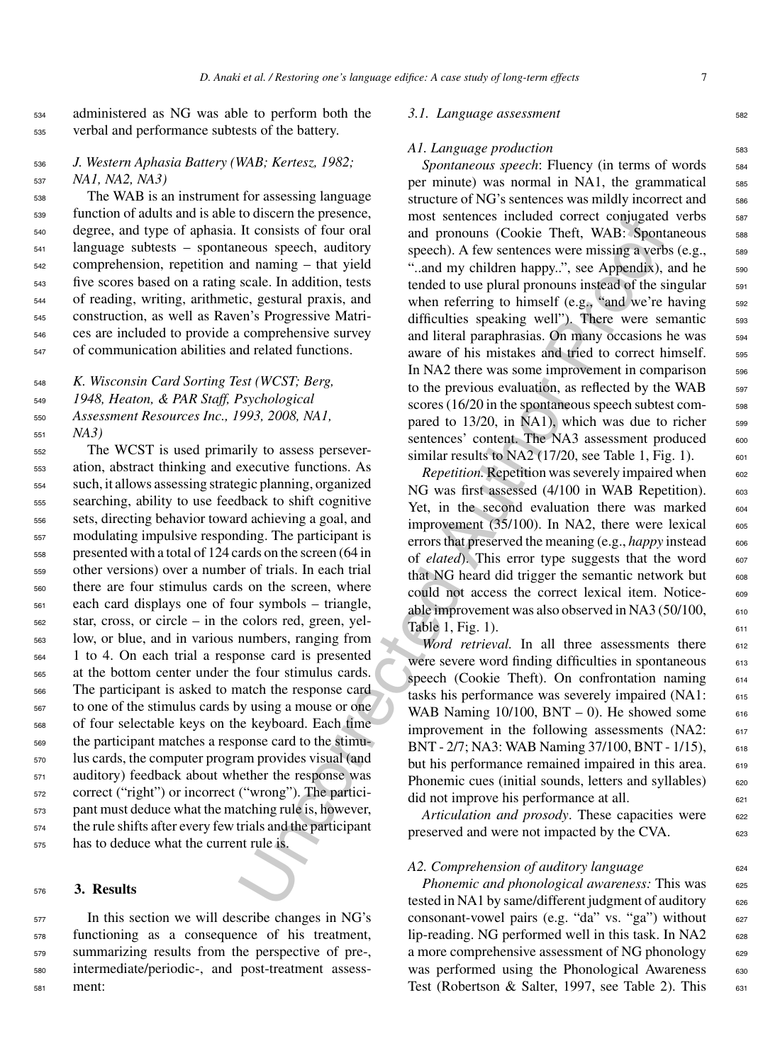<sup>534</sup> administered as NG was able to perform both the <sup>535</sup> verbal and performance subtests of the battery.

#### <sup>536</sup> *J. Western Aphasia Battery (WAB; Kertesz, 1982;* <sup>537</sup> *NA1, NA2, NA3)*

 The WAB is an instrument for assessing language function of adults and is able to discern the presence, degree, and type of aphasia. It consists of four oral language subtests – spontaneous speech, auditory comprehension, repetition and naming – that yield five scores based on a rating scale. In addition, tests of reading, writing, arithmetic, gestural praxis, and construction, as well as Raven's Progressive Matri- ces are included to provide a comprehensive survey of communication abilities and related functions.

 *K. Wisconsin Card Sorting Test (WCST; Berg, 1948, Heaton, & PAR Staff, Psychological Assessment Resources Inc., 1993, 2008, NA1,* <sup>551</sup> *NA3)*

 The WCST is used primarily to assess persever- ation, abstract thinking and executive functions. As such, it allows assessing strategic planning, organized searching, ability to use feedback to shift cognitive sets, directing behavior toward achieving a goal, and modulating impulsive responding. The participant is presented with a total of 124 cards on the screen (64 in other versions) over a number of trials. In each trial there are four stimulus cards on the screen, where each card displays one of four symbols – triangle, star, cross, or circle – in the colors red, green, yel- low, or blue, and in various numbers, ranging from 1 to 4. On each trial a response card is presented at the bottom center under the four stimulus cards. The participant is asked to match the response card to one of the stimulus cards by using a mouse or one of four selectable keys on the keyboard. Each time the participant matches a response card to the stimu- lus cards, the computer program provides visual (and auditory) feedback about whether the response was correct ("right") or incorrect ("wrong"). The partici- pant must deduce what the matching rule is, however, the rule shifts after every few trials and the participant has to deduce what the current rule is.

#### <sup>576</sup> **3. Results**

 In this section we will describe changes in NG's functioning as a consequence of his treatment, summarizing results from the perspective of pre-, intermediate/periodic-, and post-treatment assess-<sup>581</sup> ment:

#### *3.1. Language assessment* 582

#### *A1. Language production* 583

Uncorrect the presented. This sentences included correct conjugated correct conducts are provided to the sphering a vector and pronouns (Cookie Theft, WAB: Spont and pronouns yCookie Theft, WAB: Spont and analing - that y Spontaneous speech: Fluency (in terms of words 584 per minute) was normal in NA1, the grammatical 585 structure of NG's sentences was mildly incorrect and 586 most sentences included correct conjugated verbs 587 and pronouns (Cookie Theft, WAB: Spontaneous 588 speech). A few sentences were missing a verbs (e.g.,  $\qquad$  589 "..and my children happy..", see Appendix), and he 590 tended to use plural pronouns instead of the singular  $591$ when referring to himself (e.g., "and we're having 592 difficulties speaking well"). There were semantic 593 and literal paraphrasias. On many occasions he was  $_{594}$ aware of his mistakes and tried to correct himself. 595 In NA2 there was some improvement in comparison 596 to the previous evaluation, as reflected by the WAB 597 scores (16/20 in the spontaneous speech subtest compared to  $13/20$ , in NA1), which was due to richer  $\frac{598}{20}$ sentences' content. The NA3 assessment produced 600 similar results to NA2 (17/20, see Table 1, Fig. 1).  $601$ 

*Repetition.* Repetition was severely impaired when  $\frac{602}{602}$ NG was first assessed (4/100 in WAB Repetition). 603 Yet, in the second evaluation there was marked  $_{604}$ improvement  $(35/100)$ . In NA2, there were lexical  $605$ errors that preserved the meaning (e.g., *happy* instead 606 of *elated*). This error type suggests that the word 607 that NG heard did trigger the semantic network but  $\qquad 608$ could not access the correct lexical item. Notice- 609 able improvement was also observed in NA3  $(50/100, \cdot \cdot \cdot)$ Table 1, Fig. 1).  $611$ 

*Word retrieval.* In all three assessments there 612 were severe word finding difficulties in spontaneous 613 speech (Cookie Theft). On confrontation naming 614 tasks his performance was severely impaired (NA1: <sup>615</sup> WAB Naming  $10/100$ , BNT  $- 0$ ). He showed some 616 improvement in the following assessments  $(NA2: 617)$ BNT - 2/7; NA3: WAB Naming 37/100, BNT - 1/15), 618 but his performance remained impaired in this area. 619 Phonemic cues (initial sounds, letters and syllables) 620  $\mu$  did not improve his performance at all.

*Articulation and prosody*. These capacities were 622 preserved and were not impacted by the CVA. <sup>623</sup>

#### A2. Comprehension of auditory language 624

*Phonemic and phonological awareness:* This was 625 tested in NA1 by same/different judgment of auditory 626 consonant-vowel pairs (e.g. "da" vs. "ga") without  $627$ lip-reading. NG performed well in this task. In NA2  $\qquad$  628 a more comprehensive assessment of NG phonology  $_{629}$ was performed using the Phonological Awareness 630 Test (Robertson & Salter, 1997, see Table 2). This  $\qquad$  631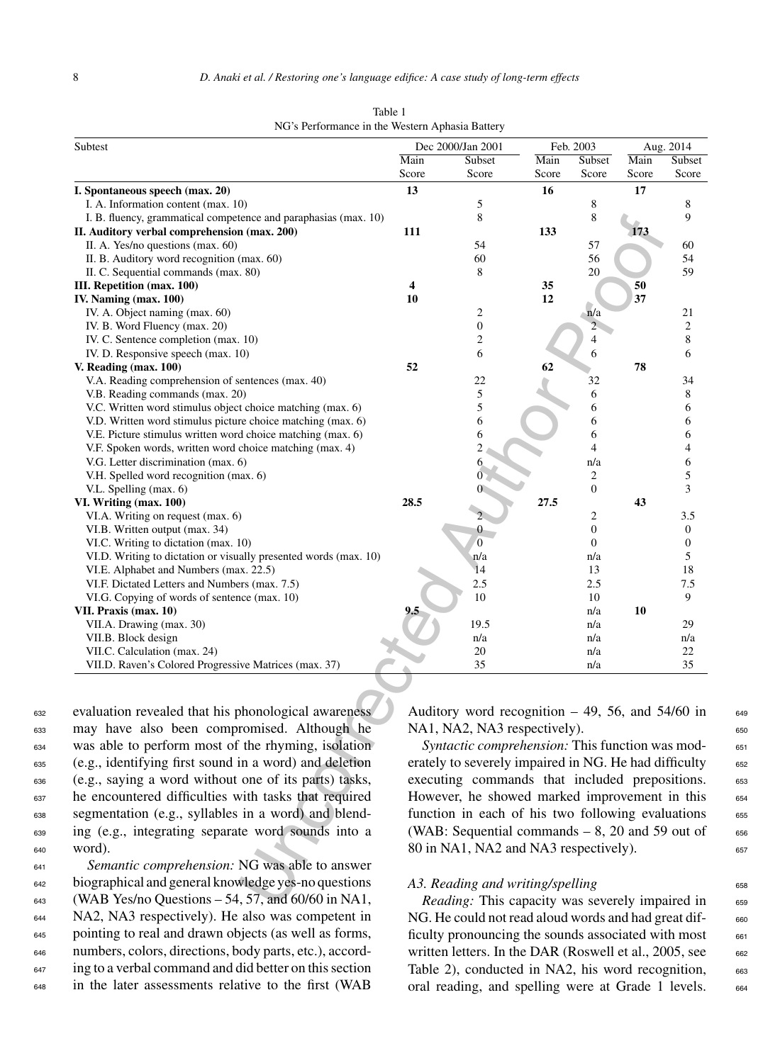| Subtest                                                                    |                                                                                                        | Dec 2000/Jan 2001                                     |       | Feb. 2003        |       | Aug. 2014        |
|----------------------------------------------------------------------------|--------------------------------------------------------------------------------------------------------|-------------------------------------------------------|-------|------------------|-------|------------------|
|                                                                            | Main                                                                                                   | Subset                                                | Main  | Subset           | Main  | Subset           |
|                                                                            | Score                                                                                                  | Score                                                 | Score | Score            | Score | Score            |
| I. Spontaneous speech (max. 20)                                            | 13                                                                                                     |                                                       | 16    |                  | 17    |                  |
| I. A. Information content (max. 10)                                        |                                                                                                        | 5                                                     |       | 8                |       | 8                |
| I. B. fluency, grammatical competence and paraphasias (max. 10)            |                                                                                                        | 8                                                     |       | 8                |       | 9                |
| II. Auditory verbal comprehension (max. 200)                               | 111                                                                                                    |                                                       | 133   |                  | 173   |                  |
| II. A. Yes/no questions (max. 60)                                          |                                                                                                        | 54                                                    |       | 57               |       | 60               |
| II. B. Auditory word recognition (max. 60)                                 |                                                                                                        | 60                                                    |       | 56               |       | 54               |
| II. C. Sequential commands (max. 80)                                       |                                                                                                        | 8                                                     |       | 20               |       | 59               |
| III. Repetition (max. 100)                                                 | 4                                                                                                      |                                                       | 35    |                  | 50    |                  |
| IV. Naming (max. 100)                                                      | 10                                                                                                     |                                                       | 12    |                  | 37    |                  |
| IV. A. Object naming (max. 60)                                             |                                                                                                        | $\boldsymbol{2}$                                      |       | n/a              |       | 21               |
| IV. B. Word Fluency (max. 20)                                              |                                                                                                        | $\boldsymbol{0}$                                      |       | 2 <sup>2</sup>   |       | $\overline{c}$   |
| IV. C. Sentence completion (max. 10)                                       |                                                                                                        | $\overline{c}$                                        |       | 4                |       | 8                |
| IV. D. Responsive speech (max. 10)                                         | 52                                                                                                     | 6                                                     | 62    | 6                | 78    | 6                |
| V. Reading (max. 100)<br>V.A. Reading comprehension of sentences (max. 40) |                                                                                                        | 22                                                    |       |                  |       | 34               |
| V.B. Reading commands (max. 20)                                            |                                                                                                        | 5                                                     |       | 32<br>6          |       | 8                |
| V.C. Written word stimulus object choice matching (max. 6)                 |                                                                                                        | 5                                                     |       | 6                |       | 6                |
| V.D. Written word stimulus picture choice matching (max. 6)                |                                                                                                        | 6                                                     |       | 6                |       | 6                |
| V.E. Picture stimulus written word choice matching (max. 6)                |                                                                                                        | 6                                                     |       | 6                |       | 6                |
| V.F. Spoken words, written word choice matching (max. 4)                   |                                                                                                        | $\overline{c}$                                        |       | 4                |       | 4                |
| V.G. Letter discrimination (max. 6)                                        |                                                                                                        | 6                                                     |       | n/a              |       | 6                |
| V.H. Spelled word recognition (max. 6)                                     |                                                                                                        |                                                       |       | $\boldsymbol{2}$ |       | 5                |
| V.L. Spelling (max. 6)                                                     |                                                                                                        |                                                       |       | $\boldsymbol{0}$ |       | 3                |
| VI. Writing (max. 100)                                                     | 28.5                                                                                                   |                                                       | 27.5  |                  | 43    |                  |
| VI.A. Writing on request (max. 6)                                          |                                                                                                        |                                                       |       | 2                |       | 3.5              |
| VI.B. Written output (max. 34)                                             |                                                                                                        | 0                                                     |       | $\boldsymbol{0}$ |       | $\boldsymbol{0}$ |
| VI.C. Writing to dictation (max. 10)                                       |                                                                                                        | $\overline{0}$                                        |       | $\theta$         |       | 0                |
| VI.D. Writing to dictation or visually presented words (max. 10)           |                                                                                                        | n/a                                                   |       | n/a              |       | 5                |
| VI.E. Alphabet and Numbers (max. 22.5)                                     |                                                                                                        | 14                                                    |       | 13               |       | 18               |
| VI.F. Dictated Letters and Numbers (max. 7.5)                              |                                                                                                        | 2.5                                                   |       | 2.5              |       | 7.5              |
| VI.G. Copying of words of sentence (max. 10)                               |                                                                                                        | 10                                                    |       | 10               |       | 9                |
| VII. Praxis (max. 10)                                                      |                                                                                                        |                                                       |       | n/a              | 10    |                  |
| VII.A. Drawing (max. 30)                                                   |                                                                                                        | 19.5                                                  |       | n/a              |       | 29               |
| VII.B. Block design                                                        |                                                                                                        | n/a                                                   |       | n/a              |       | n/a              |
| VII.C. Calculation (max. 24)                                               |                                                                                                        | 20                                                    |       | n/a              |       | 22               |
| VII.D. Raven's Colored Progressive Matrices (max. 37)                      |                                                                                                        | 35                                                    |       | n/a              |       | 35               |
|                                                                            |                                                                                                        |                                                       |       |                  |       |                  |
|                                                                            |                                                                                                        |                                                       |       |                  |       |                  |
| evaluation revealed that his phonological awareness                        |                                                                                                        | Auditory word recognition $-49$ , 56, and 54/60 in    |       |                  |       |                  |
| may have also been compromised. Although he                                |                                                                                                        | NA1, NA2, NA3 respectively).                          |       |                  |       |                  |
| was able to perform most of the rhyming, isolation                         |                                                                                                        | Syntactic comprehension: This function was mod-       |       |                  |       |                  |
| (e.g., identifying first sound in a word) and deletion                     |                                                                                                        | erately to severely impaired in NG. He had difficulty |       |                  |       |                  |
| (e.g., saying a word without one of its parts) tasks,                      |                                                                                                        | executing commands that included prepositions.        |       |                  |       |                  |
| he encountered difficulties with tasks that required                       |                                                                                                        | However, he showed marked improvement in this         |       |                  |       |                  |
| segmentation (e.g., syllables in a word) and blend-                        |                                                                                                        |                                                       |       |                  |       |                  |
|                                                                            | function in each of his two following evaluations<br>(WAB: Sequential commands $-8$ , 20 and 59 out of |                                                       |       |                  |       |                  |
| ing (e.g., integrating separate word sounds into a                         |                                                                                                        |                                                       |       |                  |       |                  |
| word).                                                                     |                                                                                                        | 80 in NA1, NA2 and NA3 respectively).                 |       |                  |       |                  |
| Semantic comprehension: NG was able to answer                              |                                                                                                        |                                                       |       |                  |       |                  |
| biographical and general knowledge yes-no questions                        |                                                                                                        | A3. Reading and writing/spelling                      |       |                  |       |                  |
| (WAB Yes/no Questions $-54$ , 57, and 60/60 in NA1,                        |                                                                                                        | Reading: This capacity was severely impaired in       |       |                  |       |                  |
|                                                                            |                                                                                                        |                                                       |       |                  |       |                  |

Table 1 NG's Performance in the Western Aphasia Battery

 evaluation revealed that his phonological awareness may have also been compromised. Although he was able to perform most of the rhyming, isolation (e.g., identifying first sound in a word) and deletion (e.g., saying a word without one of its parts) tasks, he encountered difficulties with tasks that required segmentation (e.g., syllables in a word) and blend- ing (e.g., integrating separate word sounds into a <sup>640</sup> word).

 *Semantic comprehension:* NG was able to answer biographical and general knowledge yes-no questions (WAB Yes/no Questions – 54, 57, and 60/60 in NA1, NA2, NA3 respectively). He also was competent in pointing to real and drawn objects (as well as forms, numbers, colors, directions, body parts, etc.), accord-<sup>647</sup> ing to a verbal command and did better on this section in the later assessments relative to the first (WAB

Auditory word recognition  $-49$ , 56, and 54/60 in 649  $NA1, NA2, NA3 respectively.$ 

*Syntactic comprehension:* This function was mod- 651

erately to severely impaired in NG. He had difficulty 652

executing commands that included prepositions. 653 However, he showed marked improvement in this 654 function in each of his two following evaluations  $655$ (WAB: Sequential commands  $-8$ , 20 and 59 out of 656 80 in NA1, NA2 and NA3 respectively). 657 *A3. Reading and writing/spelling* 658

*Reading:* This capacity was severely impaired in 659 NG. He could not read aloud words and had great difficulty pronouncing the sounds associated with most  $\qquad 661$ written letters. In the DAR (Roswell et al., 2005, see  $662$ Table 2), conducted in NA2, his word recognition, 663 oral reading, and spelling were at Grade 1 levels. 664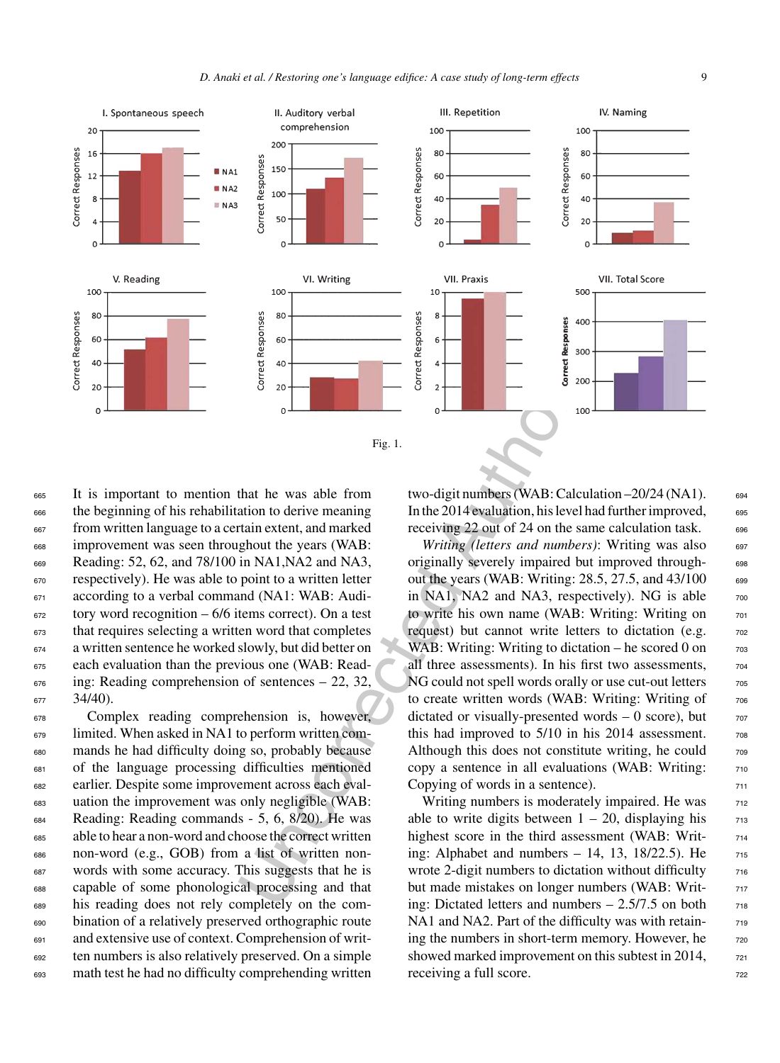

 It is important to mention that he was able from the beginning of his rehabilitation to derive meaning from written language to a certain extent, and marked improvement was seen throughout the years (WAB: Reading: 52, 62, and 78/100 in NA1,NA2 and NA3, respectively). He was able to point to a written letter <sup>671</sup> according to a verbal command (NA1: WAB: Audi- tory word recognition – 6/6 items correct). On a test that requires selecting a written word that completes a written sentence he worked slowly, but did better on each evaluation than the previous one (WAB: Read- $\epsilon_{676}$  ing: Reading comprehension of sentences – 22, 32,  $677$  34/40).

 Complex reading comprehension is, however, limited. When asked in NA1 to perform written com- mands he had difficulty doing so, probably because of the language processing difficulties mentioned earlier. Despite some improvement across each eval- uation the improvement was only negligible (WAB: Reading: Reading commands - 5, 6, 8/20). He was able to hear a non-word and choose the correct written non-word (e.g., GOB) from a list of written non- words with some accuracy. This suggests that he is capable of some phonological processing and that his reading does not rely completely on the com- bination of a relatively preserved orthographic route and extensive use of context. Comprehension of writ- ten numbers is also relatively preserved. On a simple math test he had no difficulty comprehending written

two-digit numbers (WAB: Calculation –20/24 (NA1). <sup>694</sup> In the 2014 evaluation, his level had further improved, 695 receiving 22 out of 24 on the same calculation task.  $\qquad \qquad$ 

*Writing (letters and numbers)*: Writing was also 697 originally severely impaired but improved through-<br>
<sub>698</sub> out the years (WAB: Writing: 28.5, 27.5, and 43/100 699 in NA1, NA2 and NA3, respectively). NG is able  $700$ to write his own name (WAB: Writing: Writing on  $_{701}$ request) but cannot write letters to dictation (e.g.  $\frac{702}{60}$ WAB: Writing: Writing to dictation – he scored 0 on  $\frac{703}{703}$ all three assessments). In his first two assessments,  $704$ NG could not spell words orally or use cut-out letters  $\frac{705}{205}$ to create written words (WAB: Writing: Writing of  $_{706}$ dictated or visually-presented words  $-0$  score), but  $707$ this had improved to  $5/10$  in his 2014 assessment.  $708$ Although this does not constitute writing, he could  $\frac{708}{708}$ copy a sentence in all evaluations (WAB: Writing:  $<sub>710</sub>$ </sub> Copying of words in a sentence).  $\frac{711}{20}$ 

Writing numbers is moderately impaired. He was  $_{712}$ able to write digits between  $1 - 20$ , displaying his  $713$ highest score in the third assessment (WAB: Writing: Alphabet and numbers  $-14$ , 13, 18/22.5). He  $715$ wrote 2-digit numbers to dictation without difficulty  $\frac{716}{2}$ but made mistakes on longer numbers (WAB: Writing: Dictated letters and numbers  $-2.5/7.5$  on both  $_{718}$ NA1 and NA2. Part of the difficulty was with retaining the numbers in short-term memory. However, he  $\frac{720}{200}$ showed marked improvement on this subtest in 2014,  $\frac{721}{721}$ receiving a full score.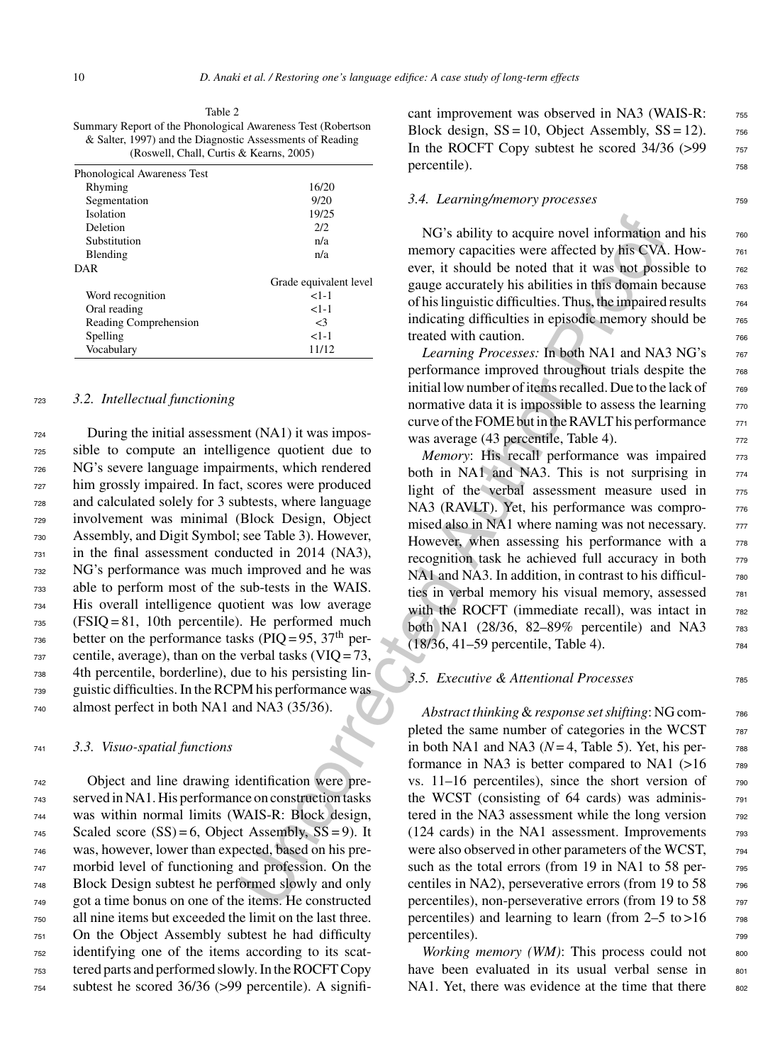Table 2 Summary Report of the Phonological Awareness Test (Robertson & Salter, 1997) and the Diagnostic Assessments of Reading (Roswell, Chall, Curtis & Kearns, 2005)

| Phonological Awareness Test |                        |
|-----------------------------|------------------------|
| Rhyming                     | 16/20                  |
| Segmentation                | 9/20                   |
| Isolation                   | 19/25                  |
| Deletion                    | 2/2                    |
| Substitution                | n/a                    |
| Blending                    | n/a                    |
| DAR                         |                        |
|                             | Grade equivalent level |
| Word recognition            | $1 - 1$                |
| Oral reading                | $1 - 1$                |
| Reading Comprehension       | $\leq$ 3               |
| Spelling                    | $1 - 1$                |
| Vocabulary                  | 11/12                  |

#### <sup>723</sup> *3.2. Intellectual functioning*

 During the initial assessment (NA1) it was impos- sible to compute an intelligence quotient due to NG's severe language impairments, which rendered him grossly impaired. In fact, scores were produced and calculated solely for 3 subtests, where language involvement was minimal (Block Design, Object Assembly, and Digit Symbol; see Table 3). However, in the final assessment conducted in 2014 (NA3), NG's performance was much improved and he was able to perform most of the sub-tests in the WAIS. His overall intelligence quotient was low average (FSIQ = 81, 10th percentile). He performed much  $_{736}$  better on the performance tasks (PIQ = 95, 37<sup>th</sup> per- centile, average), than on the verbal tasks (VIQ = 73, 4th percentile, borderline), due to his persisting lin- guistic difficulties. In the RCPM his performance was almost perfect in both NA1 and NA3 (35/36).

#### <sup>741</sup> *3.3. Visuo-spatial functions*

 Object and line drawing identification were pre- served in NA1. His performance on construction tasks was within normal limits (WAIS-R: Block design, Scaled score (SS) = 6, Object Assembly, SS = 9). It was, however, lower than expected, based on his pre- morbid level of functioning and profession. On the Block Design subtest he performed slowly and only got a time bonus on one of the items. He constructed all nine items but exceeded the limit on the last three. On the Object Assembly subtest he had difficulty identifying one of the items according to its scat- tered parts and performed slowly. In the ROCFT Copy subtest he scored 36/36 (>99 percentile). A significant improvement was observed in NA3 (WAIS-R:  $\frac{755}{755}$ Block design,  $SS = 10$ , Object Assembly,  $SS = 12$ ). 756 In the ROCFT Copy subtest he scored  $34/36$  ( $>99$   $757$ percentile).

#### 3.4. Learning/memory processes 759

 $NG's$  ability to acquire novel information and his  $760$ memory capacities were affected by his CVA. However, it should be noted that it was not possible to  $\frac{762}{66}$ gauge accurately his abilities in this domain because  $\frac{763}{60}$ of his linguistic difficulties. Thus, the impaired results <sup>764</sup> indicating difficulties in episodic memory should be  $\frac{765}{65}$ treated with caution.

*Learning Processes:* In both NA1 and NA3 NG's  $767$ performance improved throughout trials despite the  $\frac{768}{660}$ initial low number of items recalled. Due to the lack of  $_{769}$ normative data it is impossible to assess the learning  $\frac{770}{770}$ curve of the FOME but in the RAVLT his performance  $\frac{771}{771}$ was average (43 percentile, Table 4).  $\frac{772}{272}$ 

*Memory*: His recall performance was impaired 773 both in NA1 and NA3. This is not surprising in  $774$ light of the verbal assessment measure used in 775 NA3 (RAVLT). Yet, his performance was compromised also in NA1 where naming was not necessary.  $\frac{777}{277}$ However, when assessing his performance with a  $778$ recognition task he achieved full accuracy in both  $779$ NA1 and NA3. In addition, in contrast to his difficulties in verbal memory his visual memory, assessed 781 with the ROCFT (immediate recall), was intact in 782 both NA1 (28/36, 82-89% percentile) and NA3 783  $(18/36, 41-59)$  percentile, Table 4).

#### *3.5. Executive & Attentional Processes* <sup>785</sup>

NG's ability to acquire novel information<br>  $^{19/22}$ <br>
22<br>
22<br>
22<br>
22<br>
23<br>
23<br>
Cirals memory capacities were affected by his common<br>
ever, it should be noted that it was not possible.<br>
Circle equivalent level<br>
23<br>
circle *Abstract thinking*&*response set shifting*: NG com- <sup>786</sup> pleted the same number of categories in the WCST  $\frac{787}{787}$ in both NA1 and NA3 ( $N=4$ , Table 5). Yet, his performance in NA3 is better compared to NA1  $(>16$  789 vs.  $11-16$  percentiles), since the short version of  $790$ the WCST (consisting of 64 cards) was adminis- <sup>791</sup> tered in the NA3 assessment while the long version 792  $(124 \text{ cards})$  in the NA1 assessment. Improvements  $793$ were also observed in other parameters of the WCST,  $_{794}$ such as the total errors (from 19 in NA1 to 58 per-<br>  $795$ centiles in NA2), perseverative errors (from 19 to 58  $\frac{796}{7}$ percentiles), non-perseverative errors (from 19 to 58  $\frac{797}{797}$ percentiles) and learning to learn (from  $2-5$  to  $>16$  798 percentiles).

> *Working memory (WM)*: This process could not some have been evaluated in its usual verbal sense in  $801$ NA1. Yet, there was evidence at the time that there  $802$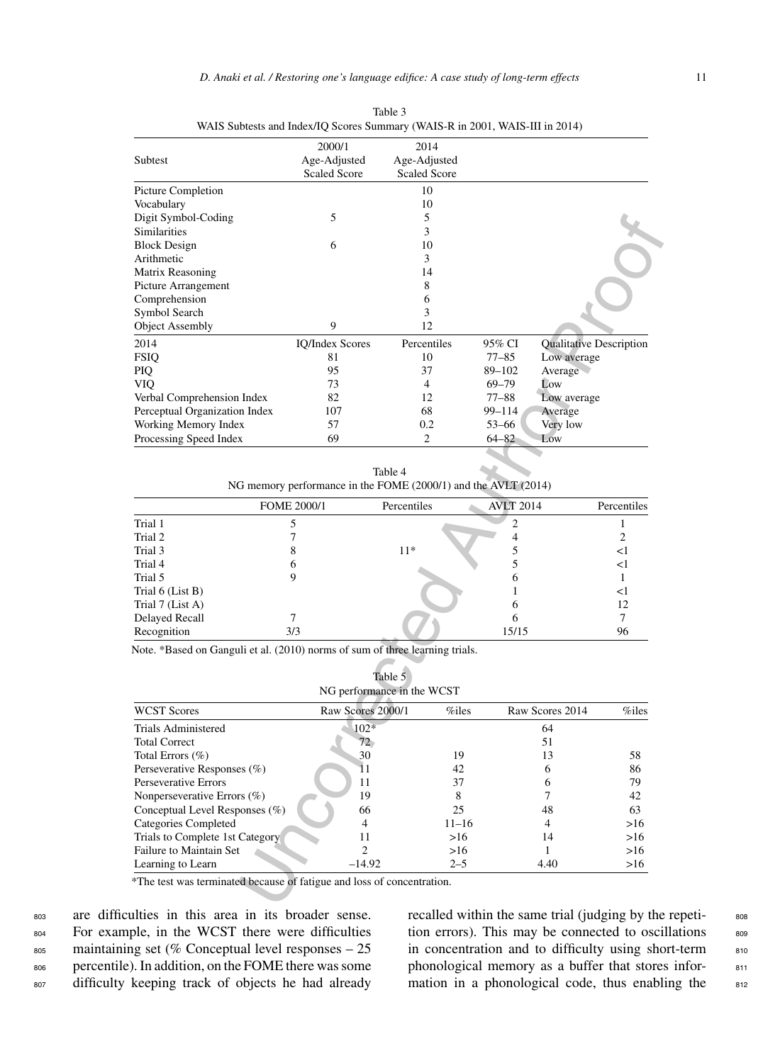|                                                                                                                                                                                                                                                                                                                      | 2000/1                                                         | 2014                       |                  |                         |                               |
|----------------------------------------------------------------------------------------------------------------------------------------------------------------------------------------------------------------------------------------------------------------------------------------------------------------------|----------------------------------------------------------------|----------------------------|------------------|-------------------------|-------------------------------|
| Subtest                                                                                                                                                                                                                                                                                                              | Age-Adjusted                                                   | Age-Adjusted               |                  |                         |                               |
|                                                                                                                                                                                                                                                                                                                      | <b>Scaled Score</b>                                            | <b>Scaled Score</b>        |                  |                         |                               |
| Picture Completion                                                                                                                                                                                                                                                                                                   |                                                                | 10                         |                  |                         |                               |
| Vocabulary                                                                                                                                                                                                                                                                                                           |                                                                | 10                         |                  |                         |                               |
| Digit Symbol-Coding                                                                                                                                                                                                                                                                                                  | 5                                                              | 5                          |                  |                         |                               |
| Similarities                                                                                                                                                                                                                                                                                                         |                                                                | 3                          |                  |                         |                               |
| <b>Block Design</b>                                                                                                                                                                                                                                                                                                  | 6                                                              | 10                         |                  |                         |                               |
| Arithmetic                                                                                                                                                                                                                                                                                                           |                                                                | 3                          |                  |                         |                               |
| Matrix Reasoning                                                                                                                                                                                                                                                                                                     |                                                                | 14                         |                  |                         |                               |
| Picture Arrangement                                                                                                                                                                                                                                                                                                  |                                                                | 8                          |                  |                         |                               |
| Comprehension                                                                                                                                                                                                                                                                                                        |                                                                | 6                          |                  |                         |                               |
| Symbol Search                                                                                                                                                                                                                                                                                                        |                                                                | 3                          |                  |                         |                               |
| <b>Object Assembly</b>                                                                                                                                                                                                                                                                                               | 9                                                              | 12                         |                  |                         |                               |
| 2014                                                                                                                                                                                                                                                                                                                 | <b>IQ/Index Scores</b>                                         | Percentiles                | 95% CI           | Qualitative Description |                               |
| <b>FSIQ</b>                                                                                                                                                                                                                                                                                                          | 81                                                             | 10                         | $77 - 85$        | Low average             |                               |
| <b>PIQ</b>                                                                                                                                                                                                                                                                                                           | 95                                                             | 37                         | 89-102           | Average                 |                               |
| VIQ                                                                                                                                                                                                                                                                                                                  | 73                                                             | $\overline{4}$             | $69 - 79$        | Low                     |                               |
| Verbal Comprehension Index                                                                                                                                                                                                                                                                                           | 82                                                             | 12                         | $77 - 88$        | Low average             |                               |
| Perceptual Organization Index                                                                                                                                                                                                                                                                                        | 107                                                            | 68                         | 99–114           | Average                 |                               |
| Working Memory Index                                                                                                                                                                                                                                                                                                 | 57                                                             | 0.2                        | 53–66            | Very low                |                               |
| Processing Speed Index                                                                                                                                                                                                                                                                                               | 69                                                             | 2                          | 64–82            | Low                     |                               |
|                                                                                                                                                                                                                                                                                                                      |                                                                |                            |                  |                         |                               |
|                                                                                                                                                                                                                                                                                                                      |                                                                |                            |                  |                         |                               |
|                                                                                                                                                                                                                                                                                                                      |                                                                | Table 4                    |                  |                         |                               |
|                                                                                                                                                                                                                                                                                                                      | NG memory performance in the FOME (2000/1) and the AVLT (2014) |                            |                  |                         |                               |
|                                                                                                                                                                                                                                                                                                                      | <b>FOME 2000/1</b>                                             | Percentiles                | <b>AVLT 2014</b> |                         | Percentiles                   |
|                                                                                                                                                                                                                                                                                                                      |                                                                |                            |                  |                         |                               |
|                                                                                                                                                                                                                                                                                                                      | 5                                                              |                            | $\mathfrak{2}$   |                         | $\mathbf{1}$                  |
|                                                                                                                                                                                                                                                                                                                      | 7                                                              |                            | 4                |                         | 2                             |
|                                                                                                                                                                                                                                                                                                                      | 8                                                              | $11*$                      | 5                |                         | <1                            |
|                                                                                                                                                                                                                                                                                                                      | 6                                                              |                            | 5                |                         | <1                            |
|                                                                                                                                                                                                                                                                                                                      | 9                                                              |                            | 6                |                         | 1                             |
|                                                                                                                                                                                                                                                                                                                      |                                                                |                            | 1                |                         | <1                            |
| Trial 1<br>Trial 2<br>Trial 3<br>Trial 4<br>Trial 5<br>Trial 6 (List B)<br>Trial 7 (List A)                                                                                                                                                                                                                          |                                                                |                            | 6                |                         | 12                            |
| Delayed Recall                                                                                                                                                                                                                                                                                                       | 7                                                              |                            | 6                |                         | 7                             |
|                                                                                                                                                                                                                                                                                                                      | 3/3                                                            |                            | 15/15            |                         | 96                            |
| Recognition<br>Note. *Based on Ganguli et al. (2010) norms of sum of three learning trials.                                                                                                                                                                                                                          |                                                                |                            |                  |                         |                               |
|                                                                                                                                                                                                                                                                                                                      |                                                                |                            |                  |                         |                               |
|                                                                                                                                                                                                                                                                                                                      |                                                                | Table 5                    |                  |                         |                               |
|                                                                                                                                                                                                                                                                                                                      |                                                                | NG performance in the WCST |                  |                         |                               |
|                                                                                                                                                                                                                                                                                                                      | Raw Scores 2000/1                                              | %iles                      |                  | Raw Scores 2014         | %iles                         |
|                                                                                                                                                                                                                                                                                                                      | $102*$                                                         |                            |                  | 64                      |                               |
|                                                                                                                                                                                                                                                                                                                      | $72^{\circ}$                                                   |                            |                  | 51                      |                               |
|                                                                                                                                                                                                                                                                                                                      | 30                                                             | 19                         |                  | 13                      | 58                            |
|                                                                                                                                                                                                                                                                                                                      | 11                                                             | 42                         |                  | 6                       | 86                            |
|                                                                                                                                                                                                                                                                                                                      | 11                                                             | 37                         |                  | 6                       | 79                            |
|                                                                                                                                                                                                                                                                                                                      | 19                                                             | 8                          |                  | 7                       |                               |
|                                                                                                                                                                                                                                                                                                                      | 66                                                             | 25                         |                  | 48                      |                               |
|                                                                                                                                                                                                                                                                                                                      | $\overline{4}$                                                 | $11 - 16$                  |                  | $\overline{4}$          |                               |
|                                                                                                                                                                                                                                                                                                                      | 11                                                             |                            | >16              | 14                      |                               |
| <b>WCST Scores</b><br><b>Trials Administered</b><br><b>Total Correct</b><br>Total Errors (%)<br>Perseverative Responses (%)<br>Perseverative Errors<br>Nonperseverative Errors $(\%)$<br>Conceptual Level Responses (%)<br><b>Categories Completed</b><br>Trials to Complete 1st Category<br>Failure to Maintain Set | 2<br>$-14.92$                                                  | >16<br>$2 - 5$             |                  | $\mathbf{1}$            | 42<br>63<br>>16<br>>16<br>>16 |

Table 3 WAIS Subtests and Index/IQ Scores Summary (WAIS-R in 2001, WAIS-III in 2014)

Table 4 NG memory performance in the FOME (2000/1) and the AVLT (2014)

|                  | <b>FOME 2000/1</b> | Percentiles | <b>AVLT 2014</b> | Percentiles |
|------------------|--------------------|-------------|------------------|-------------|
| Trial 1          |                    |             |                  |             |
| Trial 2          |                    |             |                  |             |
| Trial 3          |                    | $11*$       |                  |             |
| Trial 4          |                    |             |                  | <1          |
| Trial 5          |                    |             | n                |             |
| Trial 6 (List B) |                    |             |                  | <1          |
| Trial 7 (List A) |                    |             |                  | 12          |
| Delayed Recall   |                    |             | h                |             |
| Recognition      | 3/3                |             | 15/15            | 96          |

| Table 5                    |  |
|----------------------------|--|
| NG performance in the WCST |  |

| <b>WCST Scores</b>                | Raw Scores 2000/1 | $\%$ iles | Raw Scores 2014 | %iles |  |
|-----------------------------------|-------------------|-----------|-----------------|-------|--|
| <b>Trials Administered</b>        | $102*$            |           | 64              |       |  |
| <b>Total Correct</b>              | 72.               |           | 51              |       |  |
| Total Errors (%)                  | 30                | 19        | 13              | 58    |  |
| Perseverative Responses (%)       | 11                | 42        | h               | 86    |  |
| <b>Perseverative Errors</b>       | 11                | 37        |                 | 79    |  |
| Nonperseverative Errors $(\%)$    | 19                |           |                 | 42    |  |
| Conceptual Level Responses $(\%)$ | 66                | 25        | 48              | 63    |  |
| Categories Completed              |                   | $11 - 16$ |                 | >16   |  |
| Trials to Complete 1st Category   |                   | >16       | 14              | >16   |  |
| Failure to Maintain Set           |                   | >16       |                 | >16   |  |
| Learning to Learn                 | $-14.92$          | $2 - 5$   | 4.40            | >16   |  |

 are difficulties in this area in its broader sense. For example, in the WCST there were difficulties maintaining set (% Conceptual level responses – 25 percentile). In addition, on the FOME there was some difficulty keeping track of objects he had already recalled within the same trial (judging by the repeti-<br>sos tion errors). This may be connected to oscillations in concentration and to difficulty using short-term phonological memory as a buffer that stores infor-<br>mation in a phonological code, thus enabling the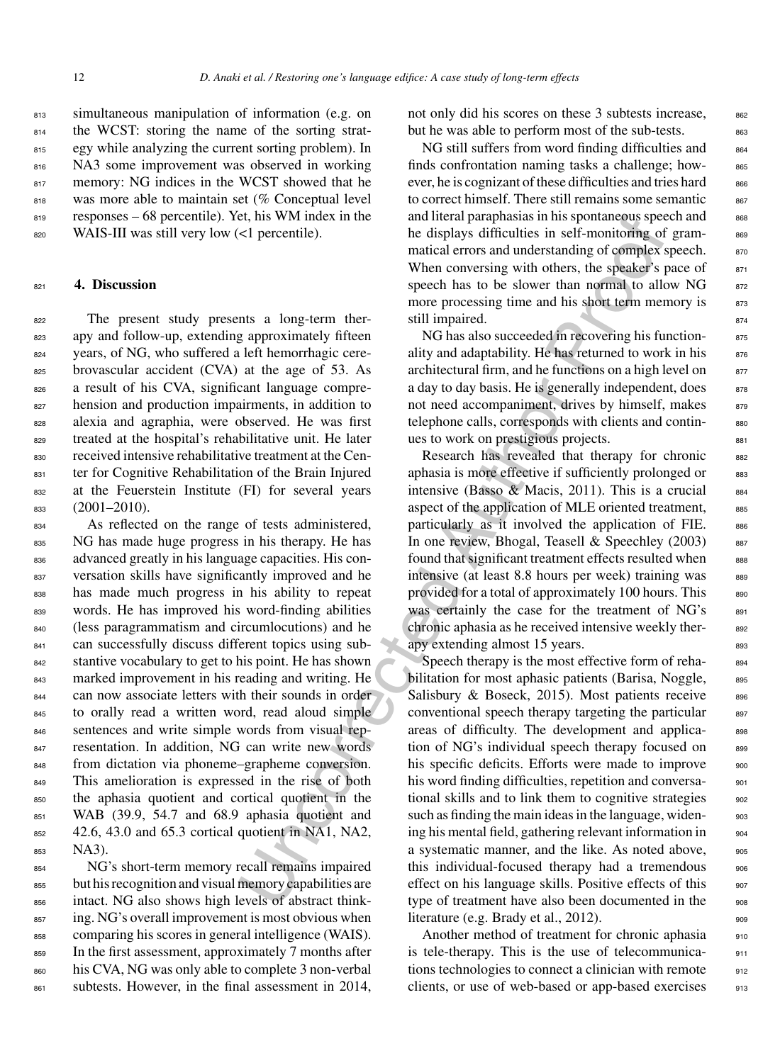<sup>813</sup> simultaneous manipulation of information (e.g. on 814 the WCST: storing the name of the sorting strat-815 egy while analyzing the current sorting problem). In <sup>816</sup> NA3 some improvement was observed in working 817 memory: NG indices in the WCST showed that he 818 was more able to maintain set (% Conceptual level <sup>819</sup> responses – 68 percentile). Yet, his WM index in the <sup>820</sup> WAIS-III was still very low (<1 percentile).

#### <sup>821</sup> **4. Discussion**

822 The present study presents a long-term ther-823 apy and follow-up, extending approximately fifteen years, of NG, who suffered a left hemorrhagic cere- brovascular accident (CVA) at the age of 53. As a result of his CVA, significant language compre-827 hension and production impairments, in addition to alexia and agraphia, were observed. He was first treated at the hospital's rehabilitative unit. He later received intensive rehabilitative treatment at the Cen- ter for Cognitive Rehabilitation of the Brain Injured at the Feuerstein Institute (FI) for several years (2001–2010).

834 As reflected on the range of tests administered, 835 NG has made huge progress in his therapy. He has advanced greatly in his language capacities. His con-837 versation skills have significantly improved and he has made much progress in his ability to repeat words. He has improved his word-finding abilities (less paragrammatism and circumlocutions) and he can successfully discuss different topics using sub- stantive vocabulary to get to his point. He has shown marked improvement in his reading and writing. He can now associate letters with their sounds in order to orally read a written word, read aloud simple sentences and write simple words from visual rep- resentation. In addition, NG can write new words 848 from dictation via phoneme–grapheme conversion. 849 This amelioration is expressed in the rise of both the aphasia quotient and cortical quotient in the 851 WAB (39.9, 54.7 and 68.9 aphasia quotient and 42.6, 43.0 and 65.3 cortical quotient in NA1, NA2, <sup>853</sup> NA3).

 NG's short-term memory recall remains impaired but his recognition and visual memory capabilities are intact. NG also shows high levels of abstract think-857 ing. NG's overall improvement is most obvious when comparing his scores in general intelligence (WAIS). In the first assessment, approximately 7 months after 860 his CVA, NG was only able to complete 3 non-verbal 861 subtests. However, in the final assessment in 2014,

not only did his scores on these 3 subtests increase,  $862$ but he was able to perform most of the sub-tests. 863

NG still suffers from word finding difficulties and 864 finds confrontation naming tasks a challenge; however, he is cognizant of these difficulties and tries hard  $866$ to correct himself. There still remains some semantic  $867$ and literal paraphasias in his spontaneous speech and <sup>868</sup> he displays difficulties in self-monitoring of grammatical errors and understanding of complex speech.  $870$ When conversing with others, the speaker's pace of  $871$ speech has to be slower than normal to allow  $NG$  872 more processing time and his short term memory is 873 still impaired.

NG has also succeeded in recovering his functionality and adaptability. He has returned to work in his  $876$ architectural firm, and he functions on a high level on 877 a day to day basis. He is generally independent, does  $878$ not need accompaniment, drives by himself, makes 879 telephone calls, corresponds with clients and continues to work on prestigious projects.

Research has revealed that therapy for chronic 882 aphasia is more effective if sufficiently prolonged or  $883$ intensive (Basso & Macis, 2011). This is a crucial  $884$ aspect of the application of MLE oriented treatment, 885 particularly as it involved the application of FIE. 886 In one review, Bhogal, Teasell & Speechley  $(2003)$  887 found that significant treatment effects resulted when  $\qquad$  888 intensive (at least 8.8 hours per week) training was 889 provided for a total of approximately 100 hours. This 890 was certainly the case for the treatment of NG's 891 chronic aphasia as he received intensive weekly ther-<br>s92 apy extending almost 15 years.

et, his WM index in the and literal paraphaisas in his spontaneous speech<br>
cel percentile).<br>
Cel percentile,<br>
and ideral parameterizating of complex-<br>
when conversing with others, the speaker's speech has to be slower than Speech therapy is the most effective form of rehabilitation for most aphasic patients (Barisa, Noggle, 895 Salisbury & Boseck, 2015). Most patients receive  $896$ conventional speech therapy targeting the particular 897 areas of difficulty. The development and applica-<br>s98 tion of NG's individual speech therapy focused on 899 his specific deficits. Efforts were made to improve 900 his word finding difficulties, repetition and conversa- 901 tional skills and to link them to cognitive strategies  $\frac{902}{200}$ such as finding the main ideas in the language, widen-<br>903 ing his mental field, gathering relevant information in  $\frac{904}{200}$ a systematic manner, and the like. As noted above,  $\qquad$  905 this individual-focused therapy had a tremendous 906 effect on his language skills. Positive effects of this 907 type of treatment have also been documented in the 908 literature (e.g. Brady et al., 2012).

> Another method of treatment for chronic aphasia 910 is tele-therapy. This is the use of telecommunica- <sup>911</sup> tions technologies to connect a clinician with remote  $_{912}$ clients, or use of web-based or app-based exercises 913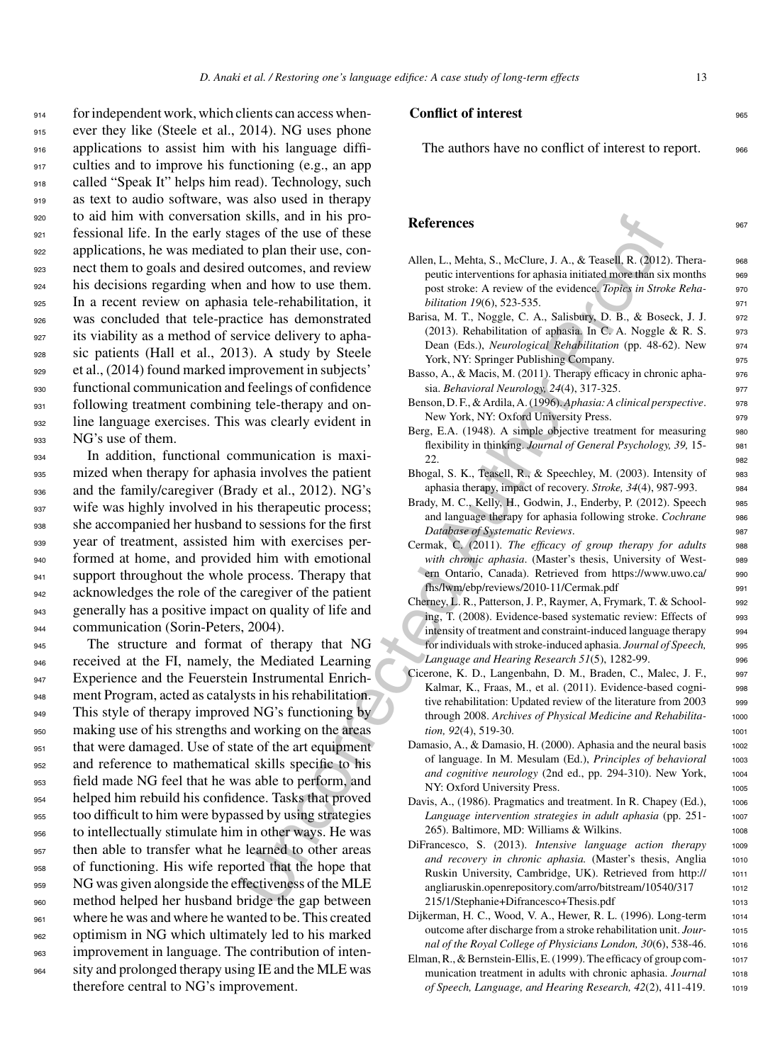for independent work, which clients can access when-915 ever they like (Steele et al., 2014). NG uses phone applications to assist him with his language diffi- culties and to improve his functioning (e.g., an app called "Speak It" helps him read). Technology, such as text to audio software, was also used in therapy to aid him with conversation skills, and in his pro- fessional life. In the early stages of the use of these applications, he was mediated to plan their use, con- nect them to goals and desired outcomes, and review his decisions regarding when and how to use them. In a recent review on aphasia tele-rehabilitation, it was concluded that tele-practice has demonstrated its viability as a method of service delivery to apha- sic patients (Hall et al., 2013). A study by Steele et al., (2014) found marked improvement in subjects' functional communication and feelings of confidence 931 following treatment combining tele-therapy and on- line language exercises. This was clearly evident in NG's use of them.

<sup>934</sup> In addition, functional communication is maxi-<sup>935</sup> mized when therapy for aphasia involves the patient 936 and the family/caregiver (Brady et al., 2012). NG's 937 wife was highly involved in his therapeutic process; <sup>938</sup> she accompanied her husband to sessions for the first <sup>939</sup> year of treatment, assisted him with exercises per-<sup>940</sup> formed at home, and provided him with emotional 941 support throughout the whole process. Therapy that 942 acknowledges the role of the caregiver of the patient <sup>943</sup> generally has a positive impact on quality of life and 944 communication (Sorin-Peters, 2004).

 The structure and format of therapy that NG 946 received at the FI, namely, the Mediated Learning 947 Experience and the Feuerstein Instrumental Enrich- ment Program, acted as catalysts in his rehabilitation. 949 This style of therapy improved NG's functioning by making use of his strengths and working on the areas that were damaged. Use of state of the art equipment and reference to mathematical skills specific to his field made NG feel that he was able to perform, and helped him rebuild his confidence. Tasks that proved too difficult to him were bypassed by using strategies to intellectually stimulate him in other ways. He was then able to transfer what he learned to other areas of functioning. His wife reported that the hope that NG was given alongside the effectiveness of the MLE method helped her husband bridge the gap between 961 where he was and where he wanted to be. This created optimism in NG which ultimately led to his marked improvement in language. The contribution of inten- sity and prolonged therapy using IE and the MLE was therefore central to NG's improvement.

#### **Conflict of interest** 965

The authors have no conflict of interest to report. 966

#### **References** 967

- is Sing of the plane an[d](https://www.uwo.ca/fhs/lwm/ebp/reviews/2010-11/Cermak.pdf) his proposed and the plane in the special of the plane interesting of the use of the set of the plane interesting of the plane interesting and how to use them. The plane interesting and the condit Allen, L., Mehta, S., McClure, J. A., & Teasell, R. (2012). Thera- 968 peutic interventions for aphasia initiated more than six months 969 post stroke: A review of the evidence. *Topics in Stroke Reha-* <sup>970</sup> *bilitation 19*(6), 523-535. 971 Barisa, M. T., Noggle, C. A., Salisbury, D. B., & Boseck, J. J. 972 (2013). Rehabilitation of aphasia. In C. A. Noggle & R. S.  $973$ Dean (Eds.), *Neurological Rehabilitation* (pp. 48-62). New 974 York, NY: Springer Publishing Company. 975 Basso, A., & Macis, M. (2011). Therapy efficacy in chronic apha- 976 sia. *Behavioral Neurology, 24*(4), 317-325. <sup>977</sup> Benson, D. F., & Ardila, A. (1996). Aphasia: A clinical perspective. 978 New York, NY: Oxford University Press. 979 Berg, E.A. (1948). A simple objective treatment for measuring 980 flexibility in thinking. *Journal of General Psychology, 39,* 15- <sup>981</sup>  $22.$  982 Bhogal, S. K., Teasell, R., & Speechley, M. (2003). Intensity of 983 aphasia therapy, impact of recovery. *Stroke, 34*(4), 987-993. <sup>984</sup> Brady, M. C., Kelly, H., Godwin, J., Enderby, P. (2012). Speech 985 and language therapy for aphasia following stroke. *Cochrane* 986 *Database of Systematic Reviews.* Cermak, C. (2011). *The efficacy of group therapy for adults* <sup>988</sup> with chronic aphasia. (Master's thesis, University of West-<br>989 ern Ontario, Canada). Retrieved from [https://www.uwo.ca/](https://www.uwo.ca/fhs/lwm/ebp/reviews/2010-11/Cermak.pdf) 990 fhs/lwm/ebp/reviews/2010-11/Cermak.pdf <sup>991</sup> Cherney, L. R., Patterson, J. P., Raymer, A, Frymark, T. & School- <sup>992</sup> ing, T. (2008). Evidence-based systematic review: Effects of 993 intensity of treatment and constraint-induced language therapy 994 for individuals with stroke-induced aphasia. *Journal of Speech,* <sup>995</sup> *Language and Hearing Research 51(5), 1282-99.* 996 Cicerone, K. D., Langenbahn, D. M., Braden, C., Malec, J. F., <sup>997</sup> Kalmar, K., Fraas, M., et al. (2011). Evidence-based cogni- 998 tive rehabilitation: Updated review of the literature from 2003 999 through 2008. *Archives of Physical Medicine and Rehabilita-* <sup>1000</sup> *tion, 92*(4), 519-30. 1001 Damasio, A., & Damasio, H. (2000). Aphasia and the neural basis 1002 of language. In M. Mesulam (Ed.), *Principles of behavioral* <sup>1003</sup> and cognitive neurology (2nd ed., pp. 294-310). New York, 1004 NY: Oxford University Press. 1005 Davis, A., (1986). Pragmatics and treatment. In R. Chapey (Ed.), 1006 *Language intervention strategies in adult aphasia* (pp. 251- <sup>1007</sup> 265). Baltimore, MD: Williams & Wilkins. 1008
	- DiFrancesco, S. (2013). *Intensive language action therapy* <sup>1009</sup> and recovery in chronic aphasia. (Master's thesis, Anglia 1010 Ruskin University, Cambridge, UK). Retrieved from [http://](http://angliaruskin.openrepository.com/arro/bitstream/10540/317215/1/Stephanie+Difrancesco+Thesis.pdf) <sup>1011</sup> [angliaruskin.openrepository.com/arro/bitstream/10540/317](http://angliaruskin.openrepository.com/arro/bitstream/10540/317215/1/Stephanie+Difrancesco+Thesis.pdf) 1012 215/1/Stephanie+Difrancesco+Thesis.pdf <sup>1013</sup>
	- Dijkerman, H. C., Wood, V. A., Hewer, R. L. (1996). Long-term 1014 outcome after discharge from a stroke rehabilitation unit. *Jour-* <sup>1015</sup> *nal of the Royal College of Physicians London, 30(6), 538-46.* 1016
	- Elman, R., & Bernstein-Ellis, E. (1999). The efficacy of group com- <sup>1017</sup> munication treatment in adults with chronic aphasia. *Journal* 1018 *of Speech, Language, and Hearing Research, 42*(2), 411-419. <sup>1019</sup>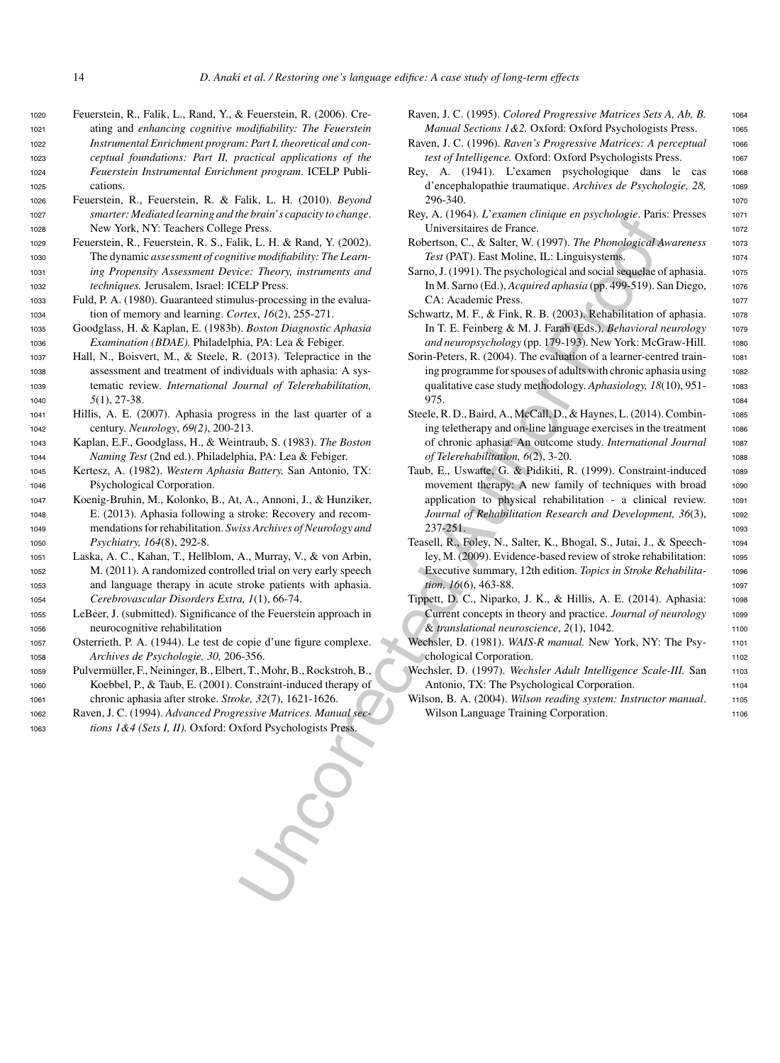- <sup>1020</sup> Feuerstein, R., Falik, L., Rand, Y., & Feuerstein, R. (2006). Cre-<sup>1021</sup> ating and *enhancing cognitive modifiability: The Feuerstein* <sup>1022</sup> *Instrumental Enrichment program: Part I, theoretical and con-*<sup>1023</sup> *ceptual foundations: Part II, practical applications of the* <sup>1024</sup> *Feuerstein Instrumental Enrichment program*. ICELP Publi-<sup>1025</sup> cations.
- <sup>1026</sup> Feuerstein, R., Feuerstein, R. & Falik, L. H. (2010). *Beyond* <sup>1027</sup> *smarter: Mediated learning and the brain*'*s capacity to change*. <sup>1028</sup> New York, NY: Teachers College Press.
- <sup>1029</sup> Feuerstein, R., Feuerstein, R. S., Falik, L. H. & Rand, Y. (2002). <sup>1030</sup> The dynamic *assessment of cognitive modifiability: The Learn-*<sup>1031</sup> *ing Propensity Assessment Device: Theory, instruments and* <sup>1032</sup> *techniques.* Jerusalem, Israel: ICELP Press.
- <sup>1033</sup> Fuld, P. A. (1980). Guaranteed stimulus-processing in the evalua-<sup>1034</sup> tion of memory and learning. *Cortex*, *16*(2), 255-271.
- <sup>1035</sup> Goodglass, H. & Kaplan, E. (1983b). *Boston Diagnostic Aphasia* <sup>1036</sup> *Examination (BDAE).* Philadelphia, PA: Lea & Febiger.
- <sup>1037</sup> Hall, N., Boisvert, M., & Steele, R. (2013). Telepractice in the <sup>1038</sup> assessment and treatment of individuals with aphasia: A sys-<sup>1039</sup> tematic review. *International Journal of Telerehabilitation,* <sup>1040</sup> *5*(1), 27-38.
- <sup>1041</sup> Hillis, A. E. (2007). Aphasia progress in the last quarter of a <sup>1042</sup> century. *Neurology*, *69(2)*, 200-213.
- <sup>1043</sup> Kaplan, E.F., Goodglass, H., & Weintraub, S. (1983). *The Boston* <sup>1044</sup> *Naming Test* (2nd ed.). Philadelphia, PA: Lea & Febiger.
- <sup>1045</sup> Kertesz, A. (1982). *Western Aphasia Battery.* San Antonio, TX: <sup>1046</sup> Psychological Corporation.
- <sup>1047</sup> Koenig-Bruhin, M., Kolonko, B., At, A., Annoni, J., & Hunziker, <sup>1048</sup> E. (2013). Aphasia following a stroke: Recovery and recom-<sup>1049</sup> mendations for rehabilitation. *Swiss Archives of Neurology and* <sup>1050</sup> *Psychiatry, 164*(8), 292-8.
- <sup>1051</sup> Laska, A. C., Kahan, T., Hellblom, A., Murray, V., & von Arbin, <sup>1052</sup> M. (2011). A randomized controlled trial on very early speech <sup>1053</sup> and language therapy in acute stroke patients with aphasia. <sup>1054</sup> *Cerebrovascular Disorders Extra, 1*(1), 66-74.

<sup>1055</sup> LeBeer, J. (submitted). Significance of the Feuerstein approach in <sup>1056</sup> neurocognitive rehabilitation

<sup>1057</sup> Osterrieth, P. A. (1944). Le test de copie d'une figure complexe. <sup>1058</sup> *Archives de Psychologie, 30,* 206-356.

- 1059 Pulvermüller, F., Neininger, B., Elbert, T., Mohr, B., Rockstroh, B., <sup>1060</sup> Koebbel, P., & Taub, E. (2001). Constraint-induced therapy of <sup>1061</sup> chronic aphasia after stroke. *Stroke, 32*(7), 1621-1626.
- <sup>1062</sup> Raven, J. C. (1994). *Advanced Progressive Matrices. Manual sec-*<sup>1063</sup> *tions 1&4 (Sets I, II).* Oxford: Oxford Psychologists Press.
- Raven, J. C. (1995). *Colored Progressive Matrices Sets A, Ab, B.* 1064 *Manual Sections 1&2.* Oxford: Oxford Psychologists Press. 1065
- Raven, J. C. (1996). *Raven's Progressive Matrices: A perceptual* 1066 *test of Intelligence*. Oxford: Oxford Psychologists Press. 1067
- Rey, A. (1941). L'examen psychologique dans le cas <sup>1068</sup> d'encephalopathie traumatique. *Archives de Psychologie, 28,* <sup>1069</sup> 296-340. <sup>1070</sup>
- Rey, A. (1964). *L'examen clinique en psychologie*. Paris: Presses 1071 Universitaires de France. <sup>1072</sup>
- Robertson, C., & Salter, W. (1997). *The Phonological Awareness* 1073 *Test* (PAT). East Moline, IL: Linguisystems. 1074
- Sarno, J. (1991). The psychological and social sequelae of aphasia. 1075 In M. Sarno (Ed.), *Acquired aphasia* (pp. 499-519). San Diego, 1076 CA: Academic Press. 1077
- Schwartz, M. F., & Fink, R. B. (2003). Rehabilitation of aphasia. 1078 In T. E. Feinberg & M. J. Farah (Eds.), *Behavioral neurology* 1079 and neuropsychology (pp. 179-193). New York: McGraw-Hill. 1080
- Sorin-Peters, R. (2004). The evaluation of a learner-centred train-<br>1081 ing programme for spouses of adults with chronic aphasia using 1082 qualitative case study methodology. *Aphasiology, 18*(10), 951-<br>1083 975. 1084
- Steele, R. D., Baird, A., McCall, D., & Haynes, L. (2014). Combin- 1085 ing teletherapy and on-line language exercises in the treatment 1086 of chronic aphasia: An outcome study. *International Journal* <sup>1087</sup> *of Telerehabilitation, 6*(2), 3-20. <sup>1088</sup>
- ne procedure and  $Y$ . (1994). The Reader Case Sext. (1994). The From the matter of a state  $X$ , (1997). The *From the Backbon Case Sect.* 2007). The *Case Case Section* Case Section 2.4 and  $Y$ . The proposition of the sta Taub, E., Uswatte, G. & Pidikiti, R. (1999). Constraint-induced 1089 movement therapy: A new family of techniques with broad 1090 application to physical rehabilitation - a clinical review. <sup>1091</sup> *Journal of Rehabilitation Research and Development, 36(3),* 1092 237-251. <sup>1093</sup>
	- Teasell, R., Foley, N., Salter, K., Bhogal, S., Jutai, J., & Speech- <sup>1094</sup> ley, M. (2009). Evidence-based review of stroke rehabilitation: 1095 Executive summary, 12th edition. *Topics in Stroke Rehabilita-* <sup>1096</sup> *tion, 16*(6), 463-88. 1097
	- Tippett, D. C., Niparko, J. K., & Hillis, A. E. (2014). Aphasia: <sup>1098</sup> Current concepts in theory and practice. *Journal of neurology* 1099 & *translational neuroscience*, *2*(1), 1042. <sup>1100</sup>
	- Wechsler, D. (1981). *WAIS-R manual*. New York, NY: The Psy-<br>1101 chological Corporation.
	- Wechsler, D. (1997). *Wechsler Adult Intelligence Scale-III*. San 1103 Antonio, TX: The Psychological Corporation. 1104
	- Wilson, B. A. (2004). *Wilson reading system: Instructor manual*. 1105 Wilson Language Training Corporation. The mass of the contract of the contract of the contract of the contract of the contract of the contract of the contract of the contract of the contract of the contract of the contract